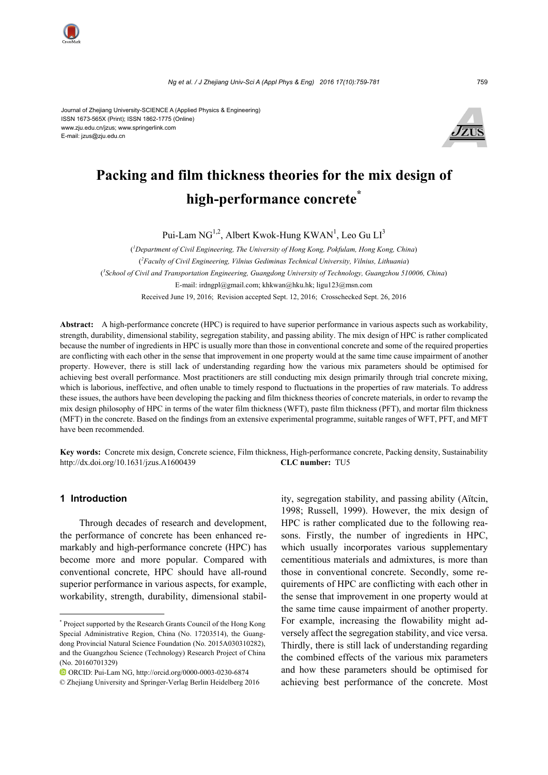

# **Packing and film thickness theories for the mix design of high-performance concrete\***

Pui-Lam  $NG^{1,2}$ , Albert Kwok-Hung KWAN<sup>1</sup>, Leo Gu LI<sup>3</sup>

( *1 Department of Civil Engineering, The University of Hong Kong, Pokfulam, Hong Kong, China*) ( *2 Faculty of Civil Engineering, Vilnius Gediminas Technical University, Vilnius, Lithuania*) ( *3 School of Civil and Transportation Engineering, Guangdong University of Technology, Guangzhou 510006, China*) E-mail: irdngpl@gmail.com; khkwan@hku.hk; ligu123@msn.com Received June 19, 2016; Revision accepted Sept. 12, 2016; Crosschecked Sept. 26, 2016

**Abstract:** A high-performance concrete (HPC) is required to have superior performance in various aspects such as workability, strength, durability, dimensional stability, segregation stability, and passing ability. The mix design of HPC is rather complicated because the number of ingredients in HPC is usually more than those in conventional concrete and some of the required properties are conflicting with each other in the sense that improvement in one property would at the same time cause impairment of another property. However, there is still lack of understanding regarding how the various mix parameters should be optimised for achieving best overall performance. Most practitioners are still conducting mix design primarily through trial concrete mixing, which is laborious, ineffective, and often unable to timely respond to fluctuations in the properties of raw materials. To address these issues, the authors have been developing the packing and film thickness theories of concrete materials, in order to revamp the mix design philosophy of HPC in terms of the water film thickness (WFT), paste film thickness (PFT), and mortar film thickness (MFT) in the concrete. Based on the findings from an extensive experimental programme, suitable ranges of WFT, PFT, and MFT have been recommended.

**Key words:** Concrete mix design, Concrete science, Film thickness, High-performance concrete, Packing density, Sustainability http://dx.doi.org/10.1631/jzus.A1600439 **CLC number:** TU5

# **1 Introduction**

Through decades of research and development, the performance of concrete has been enhanced remarkably and high-performance concrete (HPC) has become more and more popular. Compared with conventional concrete, HPC should have all-round superior performance in various aspects, for example, workability, strength, durability, dimensional stability, segregation stability, and passing ability (Aïtcin, 1998; Russell, 1999). However, the mix design of HPC is rather complicated due to the following reasons. Firstly, the number of ingredients in HPC, which usually incorporates various supplementary cementitious materials and admixtures, is more than those in conventional concrete. Secondly, some requirements of HPC are conflicting with each other in the sense that improvement in one property would at the same time cause impairment of another property. For example, increasing the flowability might adversely affect the segregation stability, and vice versa. Thirdly, there is still lack of understanding regarding the combined effects of the various mix parameters and how these parameters should be optimised for achieving best performance of the concrete. Most

<sup>\*</sup> Project supported by the Research Grants Council of the Hong Kong Special Administrative Region, China (No. 17203514), the Guangdong Provincial Natural Science Foundation (No. 2015A030310282), and the Guangzhou Science (Technology) Research Project of China (No. 20160701329)

ORCID: Pui-Lam NG, http://orcid.org/0000-0003-0230-6874

<sup>©</sup> Zhejiang University and Springer-Verlag Berlin Heidelberg 2016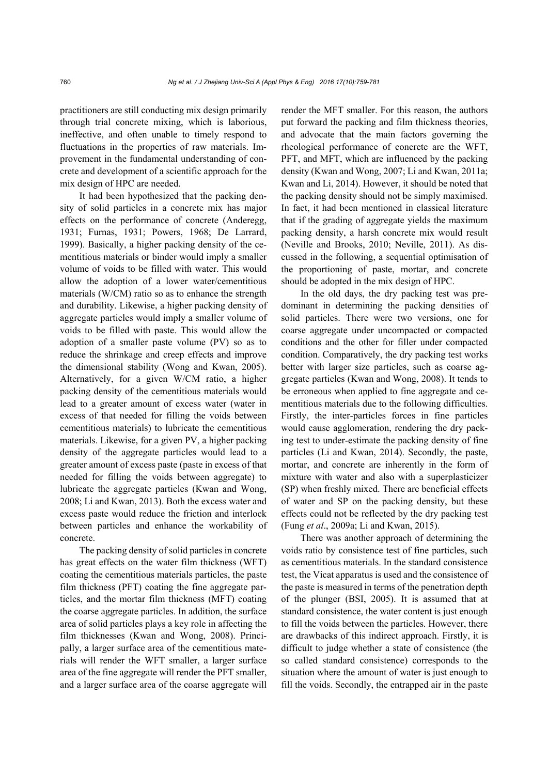practitioners are still conducting mix design primarily through trial concrete mixing, which is laborious, ineffective, and often unable to timely respond to fluctuations in the properties of raw materials. Improvement in the fundamental understanding of concrete and development of a scientific approach for the mix design of HPC are needed.

It had been hypothesized that the packing density of solid particles in a concrete mix has major effects on the performance of concrete (Anderegg, 1931; Furnas, 1931; Powers, 1968; De Larrard, 1999). Basically, a higher packing density of the cementitious materials or binder would imply a smaller volume of voids to be filled with water. This would allow the adoption of a lower water/cementitious materials (W/CM) ratio so as to enhance the strength and durability. Likewise, a higher packing density of aggregate particles would imply a smaller volume of voids to be filled with paste. This would allow the adoption of a smaller paste volume (PV) so as to reduce the shrinkage and creep effects and improve the dimensional stability (Wong and Kwan, 2005). Alternatively, for a given W/CM ratio, a higher packing density of the cementitious materials would lead to a greater amount of excess water (water in excess of that needed for filling the voids between cementitious materials) to lubricate the cementitious materials. Likewise, for a given PV, a higher packing density of the aggregate particles would lead to a greater amount of excess paste (paste in excess of that needed for filling the voids between aggregate) to lubricate the aggregate particles (Kwan and Wong, 2008; Li and Kwan, 2013). Both the excess water and excess paste would reduce the friction and interlock between particles and enhance the workability of concrete.

The packing density of solid particles in concrete has great effects on the water film thickness (WFT) coating the cementitious materials particles, the paste film thickness (PFT) coating the fine aggregate particles, and the mortar film thickness (MFT) coating the coarse aggregate particles. In addition, the surface area of solid particles plays a key role in affecting the film thicknesses (Kwan and Wong, 2008). Principally, a larger surface area of the cementitious materials will render the WFT smaller, a larger surface area of the fine aggregate will render the PFT smaller, and a larger surface area of the coarse aggregate will render the MFT smaller. For this reason, the authors put forward the packing and film thickness theories, and advocate that the main factors governing the rheological performance of concrete are the WFT, PFT, and MFT, which are influenced by the packing density (Kwan and Wong, 2007; Li and Kwan, 2011a; Kwan and Li, 2014). However, it should be noted that the packing density should not be simply maximised. In fact, it had been mentioned in classical literature that if the grading of aggregate yields the maximum packing density, a harsh concrete mix would result (Neville and Brooks, 2010; Neville, 2011). As discussed in the following, a sequential optimisation of the proportioning of paste, mortar, and concrete should be adopted in the mix design of HPC.

In the old days, the dry packing test was predominant in determining the packing densities of solid particles. There were two versions, one for coarse aggregate under uncompacted or compacted conditions and the other for filler under compacted condition. Comparatively, the dry packing test works better with larger size particles, such as coarse aggregate particles (Kwan and Wong, 2008). It tends to be erroneous when applied to fine aggregate and cementitious materials due to the following difficulties. Firstly, the inter-particles forces in fine particles would cause agglomeration, rendering the dry packing test to under-estimate the packing density of fine particles (Li and Kwan, 2014). Secondly, the paste, mortar, and concrete are inherently in the form of mixture with water and also with a superplasticizer (SP) when freshly mixed. There are beneficial effects of water and SP on the packing density, but these effects could not be reflected by the dry packing test (Fung *et al*., 2009a; Li and Kwan, 2015).

There was another approach of determining the voids ratio by consistence test of fine particles, such as cementitious materials. In the standard consistence test, the Vicat apparatus is used and the consistence of the paste is measured in terms of the penetration depth of the plunger (BSI, 2005). It is assumed that at standard consistence, the water content is just enough to fill the voids between the particles. However, there are drawbacks of this indirect approach. Firstly, it is difficult to judge whether a state of consistence (the so called standard consistence) corresponds to the situation where the amount of water is just enough to fill the voids. Secondly, the entrapped air in the paste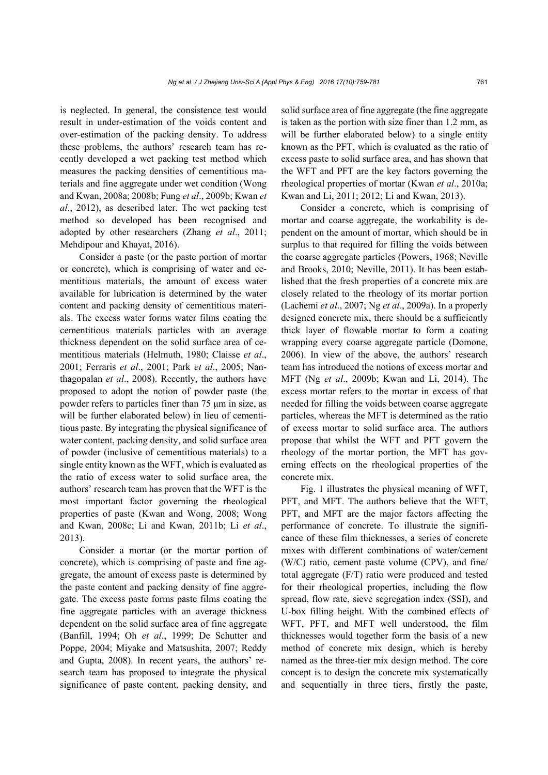is neglected. In general, the consistence test would result in under-estimation of the voids content and over-estimation of the packing density. To address these problems, the authors' research team has recently developed a wet packing test method which measures the packing densities of cementitious materials and fine aggregate under wet condition (Wong and Kwan, 2008a; 2008b; Fung *et al*., 2009b; Kwan *et al*., 2012), as described later. The wet packing test method so developed has been recognised and adopted by other researchers (Zhang *et al*., 2011; Mehdipour and Khayat, 2016).

Consider a paste (or the paste portion of mortar or concrete), which is comprising of water and cementitious materials, the amount of excess water available for lubrication is determined by the water content and packing density of cementitious materials. The excess water forms water films coating the cementitious materials particles with an average thickness dependent on the solid surface area of cementitious materials (Helmuth, 1980; Claisse *et al*., 2001; Ferraris *et al*., 2001; Park *et al*., 2005; Nanthagopalan *et al*., 2008). Recently, the authors have proposed to adopt the notion of powder paste (the powder refers to particles finer than 75 μm in size, as will be further elaborated below) in lieu of cementitious paste. By integrating the physical significance of water content, packing density, and solid surface area of powder (inclusive of cementitious materials) to a single entity known as the WFT, which is evaluated as the ratio of excess water to solid surface area, the authors' research team has proven that the WFT is the most important factor governing the rheological properties of paste (Kwan and Wong, 2008; Wong and Kwan, 2008c; Li and Kwan, 2011b; Li *et al*., 2013).

Consider a mortar (or the mortar portion of concrete), which is comprising of paste and fine aggregate, the amount of excess paste is determined by the paste content and packing density of fine aggregate. The excess paste forms paste films coating the fine aggregate particles with an average thickness dependent on the solid surface area of fine aggregate (Banfill, 1994; Oh *et al*., 1999; De Schutter and Poppe, 2004; Miyake and Matsushita, 2007; Reddy and Gupta, 2008). In recent years, the authors' research team has proposed to integrate the physical significance of paste content, packing density, and solid surface area of fine aggregate (the fine aggregate is taken as the portion with size finer than 1.2 mm, as will be further elaborated below) to a single entity known as the PFT, which is evaluated as the ratio of excess paste to solid surface area, and has shown that the WFT and PFT are the key factors governing the rheological properties of mortar (Kwan *et al*., 2010a; Kwan and Li, 2011; 2012; Li and Kwan, 2013).

Consider a concrete, which is comprising of mortar and coarse aggregate, the workability is dependent on the amount of mortar, which should be in surplus to that required for filling the voids between the coarse aggregate particles (Powers, 1968; Neville and Brooks, 2010; Neville, 2011). It has been established that the fresh properties of a concrete mix are closely related to the rheology of its mortar portion (Lachemi *et al*., 2007; Ng *et al.*, 2009a). In a properly designed concrete mix, there should be a sufficiently thick layer of flowable mortar to form a coating wrapping every coarse aggregate particle (Domone, 2006). In view of the above, the authors' research team has introduced the notions of excess mortar and MFT (Ng *et al*., 2009b; Kwan and Li, 2014). The excess mortar refers to the mortar in excess of that needed for filling the voids between coarse aggregate particles, whereas the MFT is determined as the ratio of excess mortar to solid surface area. The authors propose that whilst the WFT and PFT govern the rheology of the mortar portion, the MFT has governing effects on the rheological properties of the concrete mix.

Fig. 1 illustrates the physical meaning of WFT, PFT, and MFT. The authors believe that the WFT, PFT, and MFT are the major factors affecting the performance of concrete. To illustrate the significance of these film thicknesses, a series of concrete mixes with different combinations of water/cement (W/C) ratio, cement paste volume (CPV), and fine/ total aggregate (F/T) ratio were produced and tested for their rheological properties, including the flow spread, flow rate, sieve segregation index (SSI), and U-box filling height. With the combined effects of WFT, PFT, and MFT well understood, the film thicknesses would together form the basis of a new method of concrete mix design, which is hereby named as the three-tier mix design method. The core concept is to design the concrete mix systematically and sequentially in three tiers, firstly the paste,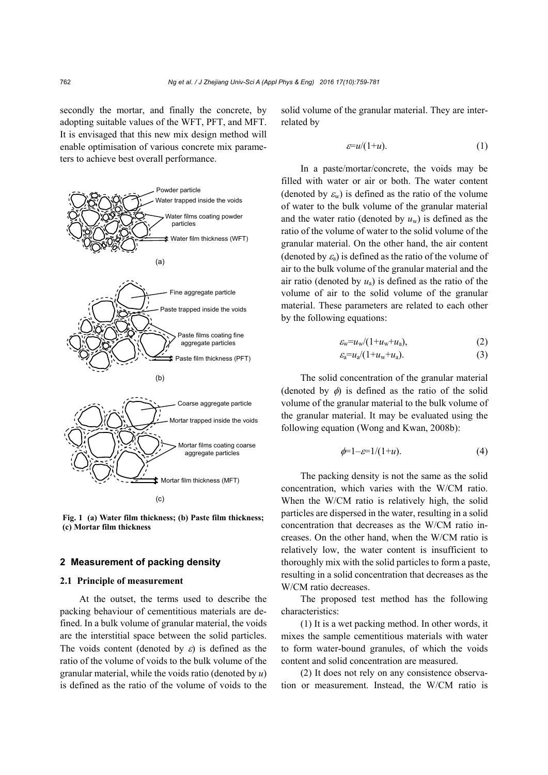secondly the mortar, and finally the concrete, by adopting suitable values of the WFT, PFT, and MFT. It is envisaged that this new mix design method will enable optimisation of various concrete mix parameters to achieve best overall performance.



**Fig. 1 (a) Water film thickness; (b) Paste film thickness; (c) Mortar film thickness** 

# **2 Measurement of packing density**

# **2.1 Principle of measurement**

At the outset, the terms used to describe the packing behaviour of cementitious materials are defined. In a bulk volume of granular material, the voids are the interstitial space between the solid particles. The voids content (denoted by  $\varepsilon$ ) is defined as the ratio of the volume of voids to the bulk volume of the granular material, while the voids ratio (denoted by *u*) is defined as the ratio of the volume of voids to the solid volume of the granular material. They are interrelated by

$$
\varepsilon = u/(1+u). \tag{1}
$$

In a paste/mortar/concrete, the voids may be filled with water or air or both. The water content (denoted by  $\varepsilon_w$ ) is defined as the ratio of the volume of water to the bulk volume of the granular material and the water ratio (denoted by  $u_w$ ) is defined as the ratio of the volume of water to the solid volume of the granular material. On the other hand, the air content (denoted by  $\varepsilon_a$ ) is defined as the ratio of the volume of air to the bulk volume of the granular material and the air ratio (denoted by  $u_a$ ) is defined as the ratio of the volume of air to the solid volume of the granular material. These parameters are related to each other by the following equations:

$$
\varepsilon_{\rm w} = u_{\rm w}/(1+u_{\rm w}+u_{\rm a}),\tag{2}
$$

$$
\varepsilon_{\rm a} = u_{\rm a} / (1 + u_{\rm w} + u_{\rm a}).\tag{3}
$$

The solid concentration of the granular material (denoted by  $\phi$ ) is defined as the ratio of the solid volume of the granular material to the bulk volume of the granular material. It may be evaluated using the following equation (Wong and Kwan, 2008b):

$$
\phi=1-\varepsilon=1/(1+u). \tag{4}
$$

The packing density is not the same as the solid concentration, which varies with the W/CM ratio. When the W/CM ratio is relatively high, the solid particles are dispersed in the water, resulting in a solid concentration that decreases as the W/CM ratio increases. On the other hand, when the W/CM ratio is relatively low, the water content is insufficient to thoroughly mix with the solid particles to form a paste, resulting in a solid concentration that decreases as the W/CM ratio decreases.

The proposed test method has the following characteristics:

(1) It is a wet packing method. In other words, it mixes the sample cementitious materials with water to form water-bound granules, of which the voids content and solid concentration are measured.

(2) It does not rely on any consistence observation or measurement. Instead, the W/CM ratio is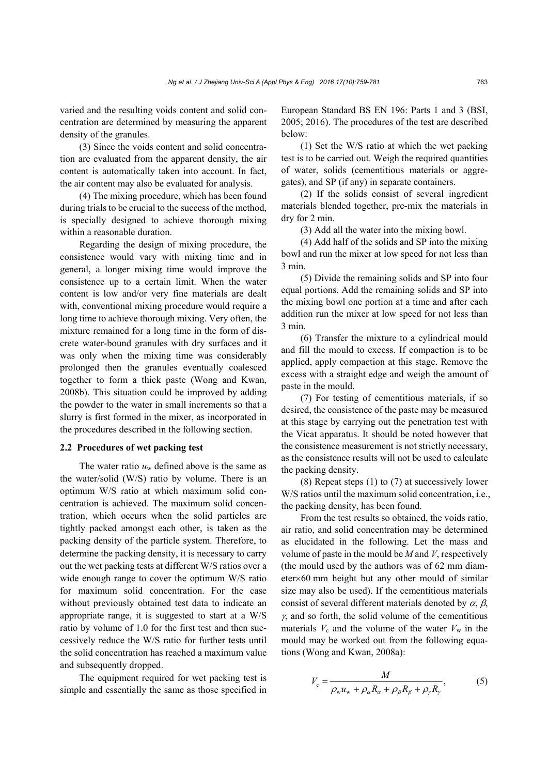varied and the resulting voids content and solid concentration are determined by measuring the apparent density of the granules.

(3) Since the voids content and solid concentration are evaluated from the apparent density, the air content is automatically taken into account. In fact, the air content may also be evaluated for analysis.

(4) The mixing procedure, which has been found during trials to be crucial to the success of the method, is specially designed to achieve thorough mixing within a reasonable duration.

Regarding the design of mixing procedure, the consistence would vary with mixing time and in general, a longer mixing time would improve the consistence up to a certain limit. When the water content is low and/or very fine materials are dealt with, conventional mixing procedure would require a long time to achieve thorough mixing. Very often, the mixture remained for a long time in the form of discrete water-bound granules with dry surfaces and it was only when the mixing time was considerably prolonged then the granules eventually coalesced together to form a thick paste (Wong and Kwan, 2008b). This situation could be improved by adding the powder to the water in small increments so that a slurry is first formed in the mixer, as incorporated in the procedures described in the following section.

### **2.2 Procedures of wet packing test**

The water ratio  $u_w$  defined above is the same as the water/solid (W/S) ratio by volume. There is an optimum W/S ratio at which maximum solid concentration is achieved. The maximum solid concentration, which occurs when the solid particles are tightly packed amongst each other, is taken as the packing density of the particle system. Therefore, to determine the packing density, it is necessary to carry out the wet packing tests at different W/S ratios over a wide enough range to cover the optimum W/S ratio for maximum solid concentration. For the case without previously obtained test data to indicate an appropriate range, it is suggested to start at a W/S ratio by volume of 1.0 for the first test and then successively reduce the W/S ratio for further tests until the solid concentration has reached a maximum value and subsequently dropped.

The equipment required for wet packing test is simple and essentially the same as those specified in European Standard BS EN 196: Parts 1 and 3 (BSI, 2005; 2016). The procedures of the test are described below:

(1) Set the W/S ratio at which the wet packing test is to be carried out. Weigh the required quantities of water, solids (cementitious materials or aggregates), and SP (if any) in separate containers.

(2) If the solids consist of several ingredient materials blended together, pre-mix the materials in dry for 2 min.

(3) Add all the water into the mixing bowl.

(4) Add half of the solids and SP into the mixing bowl and run the mixer at low speed for not less than 3 min.

(5) Divide the remaining solids and SP into four equal portions. Add the remaining solids and SP into the mixing bowl one portion at a time and after each addition run the mixer at low speed for not less than 3 min.

(6) Transfer the mixture to a cylindrical mould and fill the mould to excess. If compaction is to be applied, apply compaction at this stage. Remove the excess with a straight edge and weigh the amount of paste in the mould.

(7) For testing of cementitious materials, if so desired, the consistence of the paste may be measured at this stage by carrying out the penetration test with the Vicat apparatus. It should be noted however that the consistence measurement is not strictly necessary, as the consistence results will not be used to calculate the packing density.

(8) Repeat steps (1) to (7) at successively lower W/S ratios until the maximum solid concentration, i.e., the packing density, has been found.

From the test results so obtained, the voids ratio, air ratio, and solid concentration may be determined as elucidated in the following. Let the mass and volume of paste in the mould be *M* and *V*, respectively (the mould used by the authors was of 62 mm diam $eter×60$  mm height but any other mould of similar size may also be used). If the cementitious materials consist of several different materials denoted by  $\alpha$ ,  $\beta$ ,  $\gamma$ , and so forth, the solid volume of the cementitious materials  $V_c$  and the volume of the water  $V_w$  in the mould may be worked out from the following equations (Wong and Kwan, 2008a):

$$
V_c = \frac{M}{\rho_w u_w + \rho_a R_a + \rho_\beta R_\beta + \rho_\gamma R_\gamma},\tag{5}
$$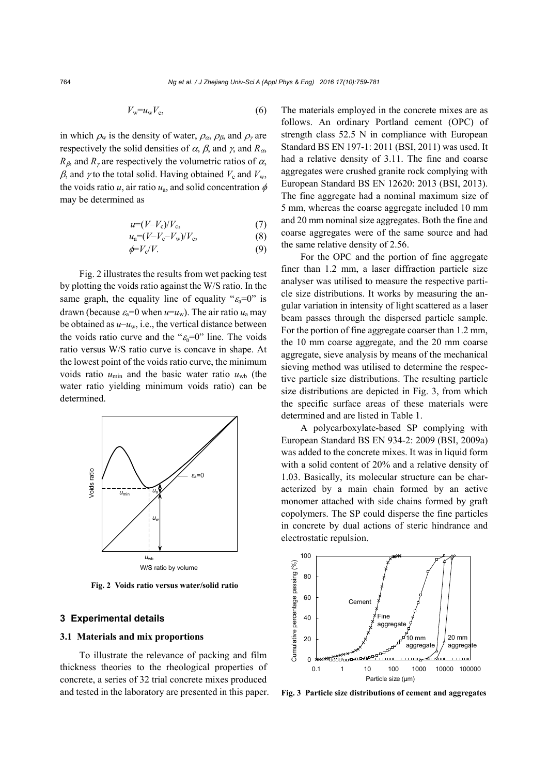$$
V_{\rm w}=u_{\rm w}V_{\rm c},\tag{6}
$$

in which  $\rho_w$  is the density of water,  $\rho_\alpha$ ,  $\rho_\beta$ , and  $\rho_\gamma$  are respectively the solid densities of  $\alpha$ ,  $\beta$ , and  $\gamma$ , and  $R_{\alpha}$ ,  $R_{\beta}$ , and  $R_{\gamma}$  are respectively the volumetric ratios of  $\alpha$ ,  $\beta$ , and  $\gamma$  to the total solid. Having obtained  $V_c$  and  $V_w$ , the voids ratio  $u$ , air ratio  $u_a$ , and solid concentration  $\phi$ may be determined as

$$
u=(V-V_{\rm c})/V_{\rm c},\tag{7}
$$

$$
u_{\rm a} = (V - V_{\rm c} - V_{\rm w})/V_{\rm c},\tag{8}
$$

$$
\phi = V_c/V. \tag{9}
$$

Fig. 2 illustrates the results from wet packing test by plotting the voids ratio against the W/S ratio. In the same graph, the equality line of equality " $\varepsilon_s = 0$ " is drawn (because  $\varepsilon_a = 0$  when  $u = u_w$ ). The air ratio  $u_a$  may be obtained as  $u-u_{w}$ , i.e., the vertical distance between the voids ratio curve and the " $\varepsilon_n=0$ " line. The voids ratio versus W/S ratio curve is concave in shape. At the lowest point of the voids ratio curve, the minimum voids ratio  $u_{\text{min}}$  and the basic water ratio  $u_{\text{wb}}$  (the water ratio yielding minimum voids ratio) can be determined.



**Fig. 2 Voids ratio versus water/solid ratio** 

# **3 Experimental details**

#### **3.1 Materials and mix proportions**

To illustrate the relevance of packing and film thickness theories to the rheological properties of concrete, a series of 32 trial concrete mixes produced and tested in the laboratory are presented in this paper. The materials employed in the concrete mixes are as follows. An ordinary Portland cement (OPC) of strength class 52.5 N in compliance with European Standard BS EN 197-1: 2011 (BSI, 2011) was used. It had a relative density of 3.11. The fine and coarse aggregates were crushed granite rock complying with European Standard BS EN 12620: 2013 (BSI, 2013). The fine aggregate had a nominal maximum size of 5 mm, whereas the coarse aggregate included 10 mm and 20 mm nominal size aggregates. Both the fine and coarse aggregates were of the same source and had the same relative density of 2.56.

For the OPC and the portion of fine aggregate finer than 1.2 mm, a laser diffraction particle size analyser was utilised to measure the respective particle size distributions. It works by measuring the angular variation in intensity of light scattered as a laser beam passes through the dispersed particle sample. For the portion of fine aggregate coarser than 1.2 mm, the 10 mm coarse aggregate, and the 20 mm coarse aggregate, sieve analysis by means of the mechanical sieving method was utilised to determine the respective particle size distributions. The resulting particle size distributions are depicted in Fig. 3, from which the specific surface areas of these materials were determined and are listed in Table 1.

A polycarboxylate-based SP complying with European Standard BS EN 934-2: 2009 (BSI, 2009a) was added to the concrete mixes. It was in liquid form with a solid content of 20% and a relative density of 1.03. Basically, its molecular structure can be characterized by a main chain formed by an active monomer attached with side chains formed by graft copolymers. The SP could disperse the fine particles in concrete by dual actions of steric hindrance and electrostatic repulsion.



**Fig. 3 Particle size distributions of cement and aggregates**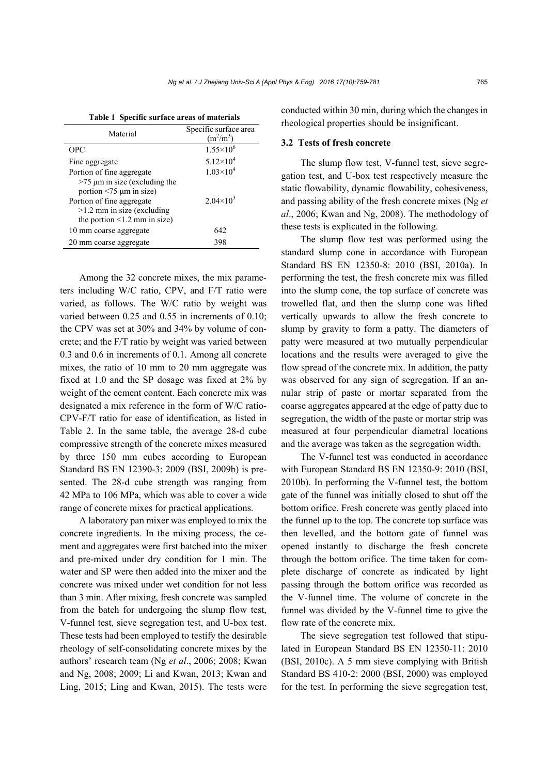| Table 1 Specific surface areas of materials                                                                                                                             |                                      |  |  |  |
|-------------------------------------------------------------------------------------------------------------------------------------------------------------------------|--------------------------------------|--|--|--|
| Material                                                                                                                                                                | Specific surface area<br>$(m^2/m^3)$ |  |  |  |
| <b>OPC</b>                                                                                                                                                              | $1.55\times10^{6}$                   |  |  |  |
| Fine aggregate                                                                                                                                                          | $5.12\times10^{4}$                   |  |  |  |
| Portion of fine aggregate                                                                                                                                               | $1.03\times10^{4}$                   |  |  |  |
| $>75 \mu m$ in size (excluding the<br>portion $\leq 75$ µm in size)<br>Portion of fine aggregate<br>$>1.2$ mm in size (excluding)<br>the portion $\leq 1.2$ mm in size) | $2.04 \times 10^3$                   |  |  |  |
| 10 mm coarse aggregate                                                                                                                                                  | 642                                  |  |  |  |
| 20 mm coarse aggregate                                                                                                                                                  | 398                                  |  |  |  |

**Table 1 Specific surface areas of materials** 

Among the 32 concrete mixes, the mix parameters including W/C ratio, CPV, and F/T ratio were varied, as follows. The W/C ratio by weight was varied between 0.25 and 0.55 in increments of 0.10; the CPV was set at 30% and 34% by volume of concrete; and the F/T ratio by weight was varied between 0.3 and 0.6 in increments of 0.1. Among all concrete mixes, the ratio of 10 mm to 20 mm aggregate was fixed at 1.0 and the SP dosage was fixed at 2% by weight of the cement content. Each concrete mix was designated a mix reference in the form of W/C ratio-CPV-F/T ratio for ease of identification, as listed in Table 2. In the same table, the average 28-d cube compressive strength of the concrete mixes measured by three 150 mm cubes according to European Standard BS EN 12390-3: 2009 (BSI, 2009b) is presented. The 28-d cube strength was ranging from 42 MPa to 106 MPa, which was able to cover a wide range of concrete mixes for practical applications.

A laboratory pan mixer was employed to mix the concrete ingredients. In the mixing process, the cement and aggregates were first batched into the mixer and pre-mixed under dry condition for 1 min. The water and SP were then added into the mixer and the concrete was mixed under wet condition for not less than 3 min. After mixing, fresh concrete was sampled from the batch for undergoing the slump flow test, V-funnel test, sieve segregation test, and U-box test. These tests had been employed to testify the desirable rheology of self-consolidating concrete mixes by the authors' research team (Ng *et al*., 2006; 2008; Kwan and Ng, 2008; 2009; Li and Kwan, 2013; Kwan and Ling, 2015; Ling and Kwan, 2015). The tests were conducted within 30 min, during which the changes in rheological properties should be insignificant.

#### **3.2 Tests of fresh concrete**

The slump flow test, V-funnel test, sieve segregation test, and U-box test respectively measure the static flowability, dynamic flowability, cohesiveness, and passing ability of the fresh concrete mixes (Ng *et al*., 2006; Kwan and Ng, 2008). The methodology of these tests is explicated in the following.

The slump flow test was performed using the standard slump cone in accordance with European Standard BS EN 12350-8: 2010 (BSI, 2010a). In performing the test, the fresh concrete mix was filled into the slump cone, the top surface of concrete was trowelled flat, and then the slump cone was lifted vertically upwards to allow the fresh concrete to slump by gravity to form a patty. The diameters of patty were measured at two mutually perpendicular locations and the results were averaged to give the flow spread of the concrete mix. In addition, the patty was observed for any sign of segregation. If an annular strip of paste or mortar separated from the coarse aggregates appeared at the edge of patty due to segregation, the width of the paste or mortar strip was measured at four perpendicular diametral locations and the average was taken as the segregation width.

The V-funnel test was conducted in accordance with European Standard BS EN 12350-9: 2010 (BSI, 2010b). In performing the V-funnel test, the bottom gate of the funnel was initially closed to shut off the bottom orifice. Fresh concrete was gently placed into the funnel up to the top. The concrete top surface was then levelled, and the bottom gate of funnel was opened instantly to discharge the fresh concrete through the bottom orifice. The time taken for complete discharge of concrete as indicated by light passing through the bottom orifice was recorded as the V-funnel time. The volume of concrete in the funnel was divided by the V-funnel time to give the flow rate of the concrete mix.

The sieve segregation test followed that stipulated in European Standard BS EN 12350-11: 2010 (BSI, 2010c). A 5 mm sieve complying with British Standard BS 410-2: 2000 (BSI, 2000) was employed for the test. In performing the sieve segregation test,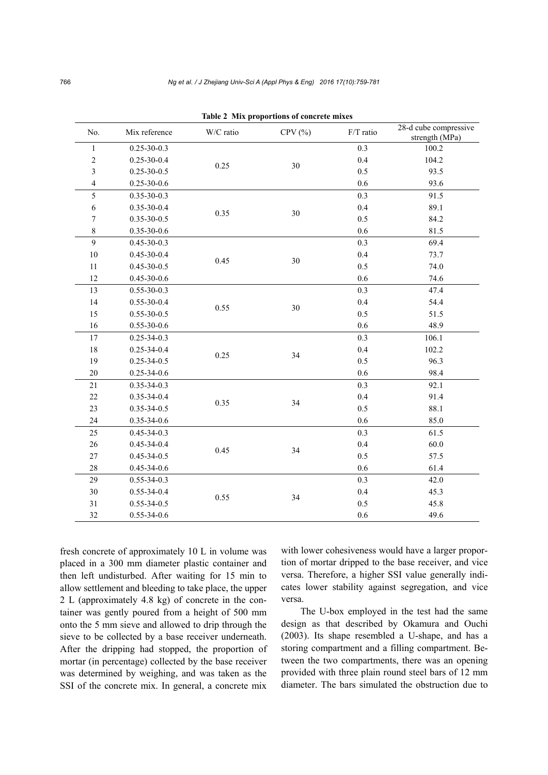| No.                     | Mix reference     | W/C ratio | $CPV$ $(\%$ | F/T ratio | 28-d cube compressive<br>strength (MPa) |
|-------------------------|-------------------|-----------|-------------|-----------|-----------------------------------------|
| $\mathbf{1}$            | $0.25 - 30 - 0.3$ |           |             | 0.3       | 100.2                                   |
| $\overline{c}$          | $0.25 - 30 - 0.4$ |           |             | 0.4       | 104.2                                   |
| $\mathfrak{Z}$          | $0.25 - 30 - 0.5$ | 0.25      | 30          | 0.5       | 93.5                                    |
| $\overline{\mathbf{4}}$ | $0.25 - 30 - 0.6$ |           |             | 0.6       | 93.6                                    |
| $\overline{5}$          | $0.35 - 30 - 0.3$ |           |             | 0.3       | 91.5                                    |
| $\sqrt{6}$              | $0.35 - 30 - 0.4$ | 0.35      | 30          | 0.4       | 89.1                                    |
| $\boldsymbol{7}$        | $0.35 - 30 - 0.5$ |           |             | 0.5       | 84.2                                    |
| $\,8\,$                 | $0.35 - 30 - 0.6$ |           |             | 0.6       | 81.5                                    |
| 9                       | $0.45 - 30 - 0.3$ |           |             | 0.3       | 69.4                                    |
| 10                      | $0.45 - 30 - 0.4$ | 0.45      | 30          | 0.4       | 73.7                                    |
| 11                      | $0.45 - 30 - 0.5$ |           |             | 0.5       | 74.0                                    |
| 12                      | $0.45 - 30 - 0.6$ |           |             | 0.6       | 74.6                                    |
| 13                      | $0.55 - 30 - 0.3$ |           |             | 0.3       | 47.4                                    |
| 14                      | $0.55 - 30 - 0.4$ | 0.55      |             | 0.4       | 54.4                                    |
| 15                      | $0.55 - 30 - 0.5$ |           | 30          | $0.5\,$   | 51.5                                    |
| 16                      | $0.55 - 30 - 0.6$ |           |             | 0.6       | 48.9                                    |
| 17                      | $0.25 - 34 - 0.3$ |           |             | 0.3       | 106.1                                   |
| 18                      | $0.25 - 34 - 0.4$ | 0.25      |             | 0.4       | 102.2                                   |
| 19                      | $0.25 - 34 - 0.5$ |           | 34          | 0.5       | 96.3                                    |
| 20                      | $0.25 - 34 - 0.6$ |           |             | 0.6       | 98.4                                    |
| 21                      | $0.35 - 34 - 0.3$ |           |             | 0.3       | 92.1                                    |
| 22                      | $0.35 - 34 - 0.4$ | 0.35      | 34          | 0.4       | 91.4                                    |
| 23                      | $0.35 - 34 - 0.5$ |           |             | 0.5       | 88.1                                    |
| 24                      | $0.35 - 34 - 0.6$ |           |             | 0.6       | 85.0                                    |
| 25                      | $0.45 - 34 - 0.3$ |           |             | 0.3       | 61.5                                    |
| 26                      | $0.45 - 34 - 0.4$ | 0.45      | 34          | 0.4       | 60.0                                    |
| 27                      | $0.45 - 34 - 0.5$ |           |             | 0.5       | 57.5                                    |
| 28                      | $0.45 - 34 - 0.6$ |           |             | 0.6       | 61.4                                    |
| 29                      | $0.55 - 34 - 0.3$ |           |             | 0.3       | 42.0                                    |
| 30                      | $0.55 - 34 - 0.4$ | 0.55      | 34          | 0.4       | 45.3                                    |
| 31                      | $0.55 - 34 - 0.5$ |           |             | 0.5       | 45.8                                    |
| 32                      | $0.55 - 34 - 0.6$ |           |             | 0.6       | 49.6                                    |

**Table 2 Mix proportions of concrete mixes** 

fresh concrete of approximately 10 L in volume was placed in a 300 mm diameter plastic container and then left undisturbed. After waiting for 15 min to allow settlement and bleeding to take place, the upper 2 L (approximately 4.8 kg) of concrete in the container was gently poured from a height of 500 mm onto the 5 mm sieve and allowed to drip through the sieve to be collected by a base receiver underneath. After the dripping had stopped, the proportion of mortar (in percentage) collected by the base receiver was determined by weighing, and was taken as the SSI of the concrete mix. In general, a concrete mix with lower cohesiveness would have a larger proportion of mortar dripped to the base receiver, and vice versa. Therefore, a higher SSI value generally indicates lower stability against segregation, and vice versa.

The U-box employed in the test had the same design as that described by Okamura and Ouchi (2003). Its shape resembled a U-shape, and has a storing compartment and a filling compartment. Between the two compartments, there was an opening provided with three plain round steel bars of 12 mm diameter. The bars simulated the obstruction due to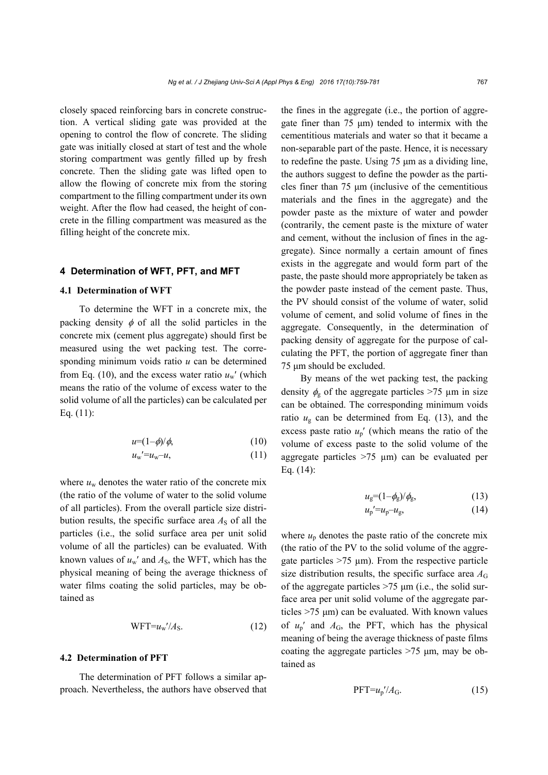closely spaced reinforcing bars in concrete construction. A vertical sliding gate was provided at the opening to control the flow of concrete. The sliding gate was initially closed at start of test and the whole storing compartment was gently filled up by fresh concrete. Then the sliding gate was lifted open to allow the flowing of concrete mix from the storing compartment to the filling compartment under its own weight. After the flow had ceased, the height of concrete in the filling compartment was measured as the filling height of the concrete mix.

#### **4 Determination of WFT, PFT, and MFT**

#### **4.1 Determination of WFT**

To determine the WFT in a concrete mix, the packing density  $\phi$  of all the solid particles in the concrete mix (cement plus aggregate) should first be measured using the wet packing test. The corresponding minimum voids ratio *u* can be determined from Eq. (10), and the excess water ratio  $u_w$ <sup>'</sup> (which means the ratio of the volume of excess water to the solid volume of all the particles) can be calculated per Eq. (11):

$$
u=(1-\phi)/\phi,\tag{10}
$$

$$
u_{\rm w} = u_{\rm w} - u,\tag{11}
$$

where  $u_w$  denotes the water ratio of the concrete mix (the ratio of the volume of water to the solid volume of all particles). From the overall particle size distribution results, the specific surface area  $A<sub>S</sub>$  of all the particles (i.e., the solid surface area per unit solid volume of all the particles) can be evaluated. With known values of  $u_w$  and  $A_s$ , the WFT, which has the physical meaning of being the average thickness of water films coating the solid particles, may be obtained as

$$
WFT = u_w'/A_S.
$$
 (12)

#### **4.2 Determination of PFT**

The determination of PFT follows a similar approach. Nevertheless, the authors have observed that the fines in the aggregate (i.e., the portion of aggregate finer than 75 μm) tended to intermix with the cementitious materials and water so that it became a non-separable part of the paste. Hence, it is necessary to redefine the paste. Using 75 μm as a dividing line, the authors suggest to define the powder as the particles finer than 75 μm (inclusive of the cementitious materials and the fines in the aggregate) and the powder paste as the mixture of water and powder (contrarily, the cement paste is the mixture of water and cement, without the inclusion of fines in the aggregate). Since normally a certain amount of fines exists in the aggregate and would form part of the paste, the paste should more appropriately be taken as the powder paste instead of the cement paste. Thus, the PV should consist of the volume of water, solid volume of cement, and solid volume of fines in the aggregate. Consequently, in the determination of packing density of aggregate for the purpose of calculating the PFT, the portion of aggregate finer than 75 μm should be excluded.

By means of the wet packing test, the packing density  $\phi_{g}$  of the aggregate particles >75 µm in size can be obtained. The corresponding minimum voids ratio  $u_{\rm g}$  can be determined from Eq. (13), and the excess paste ratio  $u_p$ <sup>'</sup> (which means the ratio of the volume of excess paste to the solid volume of the aggregate particles  $>75 \mu m$ ) can be evaluated per Eq. (14):

$$
u_{\rm g} = (1 - \phi_{\rm g})/\phi_{\rm g},\tag{13}
$$

$$
u_{\rm p} = u_{\rm p} - u_{\rm g},\tag{14}
$$

where  $u_p$  denotes the paste ratio of the concrete mix (the ratio of the PV to the solid volume of the aggregate particles  $>75 \mu m$ ). From the respective particle size distribution results, the specific surface area  $A_G$ of the aggregate particles  $>75 \mu m$  (i.e., the solid surface area per unit solid volume of the aggregate particles  $>75 \mu m$ ) can be evaluated. With known values of  $u_p'$  and  $A_G$ , the PFT, which has the physical meaning of being the average thickness of paste films coating the aggregate particles >75 μm, may be obtained as

$$
PFT = u_p / A_G. \tag{15}
$$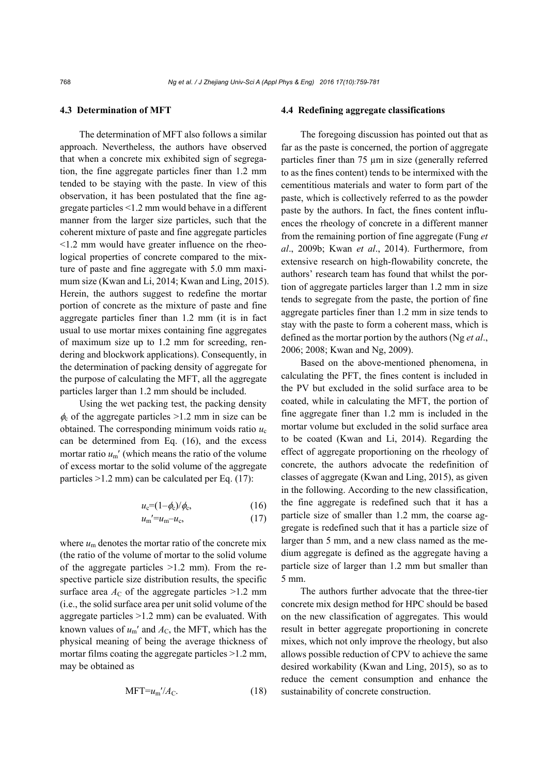### **4.3 Determination of MFT**

The determination of MFT also follows a similar approach. Nevertheless, the authors have observed that when a concrete mix exhibited sign of segregation, the fine aggregate particles finer than 1.2 mm tended to be staying with the paste. In view of this observation, it has been postulated that the fine aggregate particles <1.2 mm would behave in a different manner from the larger size particles, such that the coherent mixture of paste and fine aggregate particles <1.2 mm would have greater influence on the rheological properties of concrete compared to the mixture of paste and fine aggregate with 5.0 mm maximum size (Kwan and Li, 2014; Kwan and Ling, 2015). Herein, the authors suggest to redefine the mortar portion of concrete as the mixture of paste and fine aggregate particles finer than 1.2 mm (it is in fact usual to use mortar mixes containing fine aggregates of maximum size up to 1.2 mm for screeding, rendering and blockwork applications). Consequently, in the determination of packing density of aggregate for the purpose of calculating the MFT, all the aggregate particles larger than 1.2 mm should be included.

Using the wet packing test, the packing density  $\phi_c$  of the aggregate particles >1.2 mm in size can be obtained. The corresponding minimum voids ratio  $u_c$ can be determined from Eq. (16), and the excess mortar ratio  $u_{m}$ ' (which means the ratio of the volume of excess mortar to the solid volume of the aggregate particles >1.2 mm) can be calculated per Eq. (17):

$$
u_{\rm c} = (1 - \phi_{\rm c})/\phi_{\rm c},\tag{16}
$$

$$
u_{\rm m} = u_{\rm m} - u_{\rm c},\tag{17}
$$

where  $u_m$  denotes the mortar ratio of the concrete mix (the ratio of the volume of mortar to the solid volume of the aggregate particles >1.2 mm). From the respective particle size distribution results, the specific surface area  $A_C$  of the aggregate particles  $>1.2$  mm (i.e., the solid surface area per unit solid volume of the aggregate particles >1.2 mm) can be evaluated. With known values of  $u_m'$  and  $A_c$ , the MFT, which has the physical meaning of being the average thickness of mortar films coating the aggregate particles  $>1.2$  mm, may be obtained as

$$
MFT = u_m'/A_C.
$$
 (18)

#### **4.4 Redefining aggregate classifications**

The foregoing discussion has pointed out that as far as the paste is concerned, the portion of aggregate particles finer than 75 µm in size (generally referred to as the fines content) tends to be intermixed with the cementitious materials and water to form part of the paste, which is collectively referred to as the powder paste by the authors. In fact, the fines content influences the rheology of concrete in a different manner from the remaining portion of fine aggregate (Fung *et al*., 2009b; Kwan *et al*., 2014). Furthermore, from extensive research on high-flowability concrete, the authors' research team has found that whilst the portion of aggregate particles larger than 1.2 mm in size tends to segregate from the paste, the portion of fine aggregate particles finer than 1.2 mm in size tends to stay with the paste to form a coherent mass, which is defined as the mortar portion by the authors (Ng *et al*., 2006; 2008; Kwan and Ng, 2009).

Based on the above-mentioned phenomena, in calculating the PFT, the fines content is included in the PV but excluded in the solid surface area to be coated, while in calculating the MFT, the portion of fine aggregate finer than 1.2 mm is included in the mortar volume but excluded in the solid surface area to be coated (Kwan and Li, 2014). Regarding the effect of aggregate proportioning on the rheology of concrete, the authors advocate the redefinition of classes of aggregate (Kwan and Ling, 2015), as given in the following. According to the new classification, the fine aggregate is redefined such that it has a particle size of smaller than 1.2 mm, the coarse aggregate is redefined such that it has a particle size of larger than 5 mm, and a new class named as the medium aggregate is defined as the aggregate having a particle size of larger than 1.2 mm but smaller than 5 mm.

The authors further advocate that the three-tier concrete mix design method for HPC should be based on the new classification of aggregates. This would result in better aggregate proportioning in concrete mixes, which not only improve the rheology, but also allows possible reduction of CPV to achieve the same desired workability (Kwan and Ling, 2015), so as to reduce the cement consumption and enhance the sustainability of concrete construction.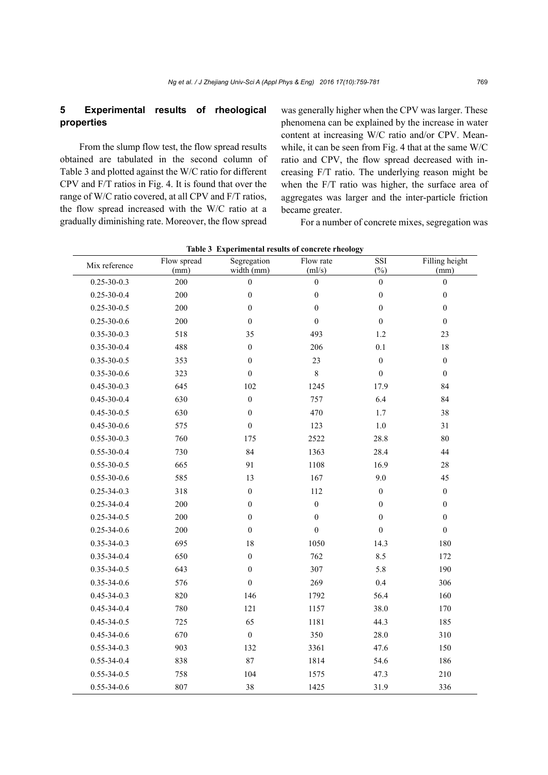# **5 Experimental results of rheological properties**

From the slump flow test, the flow spread results obtained are tabulated in the second column of Table 3 and plotted against the W/C ratio for different CPV and F/T ratios in Fig. 4. It is found that over the range of W/C ratio covered, at all CPV and F/T ratios, the flow spread increased with the W/C ratio at a gradually diminishing rate. Moreover, the flow spread was generally higher when the CPV was larger. These phenomena can be explained by the increase in water content at increasing W/C ratio and/or CPV. Meanwhile, it can be seen from Fig. 4 that at the same W/C ratio and CPV, the flow spread decreased with increasing F/T ratio. The underlying reason might be when the F/T ratio was higher, the surface area of aggregates was larger and the inter-particle friction became greater.

For a number of concrete mixes, segregation was

| Mix reference     | Flow spread<br>(mm) | Segregation<br>width (mm) | Flow rate<br>(ml/s) | SSI<br>$(\%)$    | Filling height<br>(mm) |
|-------------------|---------------------|---------------------------|---------------------|------------------|------------------------|
| $0.25 - 30 - 0.3$ | 200                 | $\mathbf{0}$              | $\boldsymbol{0}$    | $\mathbf{0}$     | $\boldsymbol{0}$       |
| $0.25 - 30 - 0.4$ | 200                 | $\boldsymbol{0}$          | $\boldsymbol{0}$    | $\boldsymbol{0}$ | $\boldsymbol{0}$       |
| $0.25 - 30 - 0.5$ | 200                 | $\boldsymbol{0}$          | $\boldsymbol{0}$    | $\boldsymbol{0}$ | $\boldsymbol{0}$       |
| $0.25 - 30 - 0.6$ | 200                 | $\boldsymbol{0}$          | $\boldsymbol{0}$    | $\boldsymbol{0}$ | $\boldsymbol{0}$       |
| $0.35 - 30 - 0.3$ | 518                 | 35                        | 493                 | 1.2              | 23                     |
| $0.35 - 30 - 0.4$ | 488                 | $\boldsymbol{0}$          | 206                 | 0.1              | 18                     |
| $0.35 - 30 - 0.5$ | 353                 | $\boldsymbol{0}$          | 23                  | $\mathbf{0}$     | $\boldsymbol{0}$       |
| $0.35 - 30 - 0.6$ | 323                 | $\boldsymbol{0}$          | 8                   | $\boldsymbol{0}$ | $\overline{0}$         |
| $0.45 - 30 - 0.3$ | 645                 | 102                       | 1245                | 17.9             | 84                     |
| $0.45 - 30 - 0.4$ | 630                 | $\mathbf{0}$              | 757                 | 6.4              | 84                     |
| $0.45 - 30 - 0.5$ | 630                 | $\overline{0}$            | 470                 | 1.7              | 38                     |
| $0.45 - 30 - 0.6$ | 575                 | $\boldsymbol{0}$          | 123                 | 1.0              | 31                     |
| $0.55 - 30 - 0.3$ | 760                 | 175                       | 2522                | 28.8             | $80\,$                 |
| $0.55 - 30 - 0.4$ | 730                 | 84                        | 1363                | 28.4             | 44                     |
| $0.55 - 30 - 0.5$ | 665                 | 91                        | 1108                | 16.9             | 28                     |
| $0.55 - 30 - 0.6$ | 585                 | 13                        | 167                 | 9.0              | 45                     |
| $0.25 - 34 - 0.3$ | 318                 | $\boldsymbol{0}$          | 112                 | $\boldsymbol{0}$ | $\boldsymbol{0}$       |
| $0.25 - 34 - 0.4$ | 200                 | $\boldsymbol{0}$          | $\boldsymbol{0}$    | $\boldsymbol{0}$ | $\boldsymbol{0}$       |
| $0.25 - 34 - 0.5$ | 200                 | $\boldsymbol{0}$          | $\boldsymbol{0}$    | $\boldsymbol{0}$ | $\boldsymbol{0}$       |
| $0.25 - 34 - 0.6$ | 200                 | $\boldsymbol{0}$          | $\boldsymbol{0}$    | $\boldsymbol{0}$ | $\boldsymbol{0}$       |
| $0.35 - 34 - 0.3$ | 695                 | 18                        | 1050                | 14.3             | 180                    |
| $0.35 - 34 - 0.4$ | 650                 | $\boldsymbol{0}$          | 762                 | 8.5              | 172                    |
| $0.35 - 34 - 0.5$ | 643                 | $\boldsymbol{0}$          | 307                 | 5.8              | 190                    |
| $0.35 - 34 - 0.6$ | 576                 | $\boldsymbol{0}$          | 269                 | 0.4              | 306                    |
| $0.45 - 34 - 0.3$ | 820                 | 146                       | 1792                | 56.4             | 160                    |
| $0.45 - 34 - 0.4$ | 780                 | 121                       | 1157                | 38.0             | 170                    |
| $0.45 - 34 - 0.5$ | 725                 | 65                        | 1181                | 44.3             | 185                    |
| $0.45 - 34 - 0.6$ | 670                 | $\mathbf{0}$              | 350                 | 28.0             | 310                    |
| $0.55 - 34 - 0.3$ | 903                 | 132                       | 3361                | 47.6             | 150                    |
| $0.55 - 34 - 0.4$ | 838                 | 87                        | 1814                | 54.6             | 186                    |
| $0.55 - 34 - 0.5$ | 758                 | 104                       | 1575                | 47.3             | 210                    |
| $0.55 - 34 - 0.6$ | 807                 | 38                        | 1425                | 31.9             | 336                    |

**Table 3 Experimental results of concrete rheology**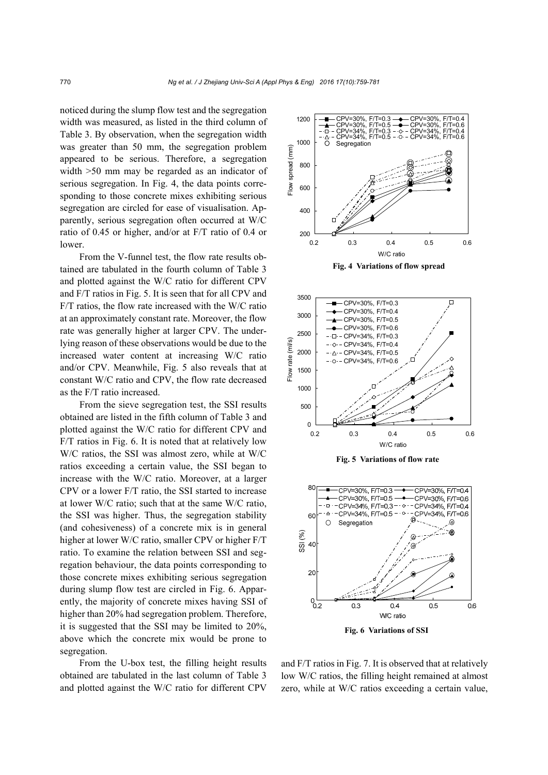noticed during the slump flow test and the segregation width was measured, as listed in the third column of Table 3. By observation, when the segregation width was greater than 50 mm, the segregation problem appeared to be serious. Therefore, a segregation width >50 mm may be regarded as an indicator of serious segregation. In Fig. 4, the data points corresponding to those concrete mixes exhibiting serious segregation are circled for ease of visualisation. Apparently, serious segregation often occurred at W/C ratio of 0.45 or higher, and/or at F/T ratio of 0.4 or lower.

From the V-funnel test, the flow rate results obtained are tabulated in the fourth column of Table 3 and plotted against the W/C ratio for different CPV and F/T ratios in Fig. 5. It is seen that for all CPV and F/T ratios, the flow rate increased with the W/C ratio at an approximately constant rate. Moreover, the flow rate was generally higher at larger CPV. The underlying reason of these observations would be due to the increased water content at increasing W/C ratio and/or CPV. Meanwhile, Fig. 5 also reveals that at constant W/C ratio and CPV, the flow rate decreased as the F/T ratio increased.

From the sieve segregation test, the SSI results obtained are listed in the fifth column of Table 3 and plotted against the W/C ratio for different CPV and F/T ratios in Fig. 6. It is noted that at relatively low W/C ratios, the SSI was almost zero, while at W/C ratios exceeding a certain value, the SSI began to increase with the W/C ratio. Moreover, at a larger CPV or a lower F/T ratio, the SSI started to increase at lower W/C ratio; such that at the same W/C ratio, the SSI was higher. Thus, the segregation stability (and cohesiveness) of a concrete mix is in general higher at lower W/C ratio, smaller CPV or higher F/T ratio. To examine the relation between SSI and segregation behaviour, the data points corresponding to those concrete mixes exhibiting serious segregation during slump flow test are circled in Fig. 6. Apparently, the majority of concrete mixes having SSI of higher than 20% had segregation problem. Therefore, it is suggested that the SSI may be limited to 20%, above which the concrete mix would be prone to segregation.

From the U-box test, the filling height results obtained are tabulated in the last column of Table 3 and plotted against the W/C ratio for different CPV



and F/T ratios in Fig. 7. It is observed that at relatively low W/C ratios, the filling height remained at almost zero, while at W/C ratios exceeding a certain value,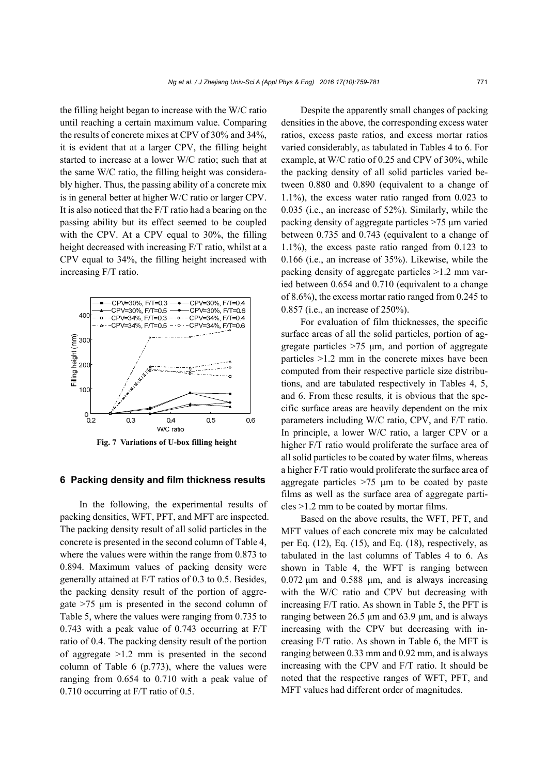the filling height began to increase with the W/C ratio until reaching a certain maximum value. Comparing the results of concrete mixes at CPV of 30% and 34%, it is evident that at a larger CPV, the filling height started to increase at a lower W/C ratio; such that at the same W/C ratio, the filling height was considerably higher. Thus, the passing ability of a concrete mix is in general better at higher W/C ratio or larger CPV. It is also noticed that the F/T ratio had a bearing on the passing ability but its effect seemed to be coupled with the CPV. At a CPV equal to 30%, the filling height decreased with increasing F/T ratio, whilst at a CPV equal to 34%, the filling height increased with increasing F/T ratio.



**Fig. 7 Variations of U-box filling height** 

### **6 Packing density and film thickness results**

In the following, the experimental results of packing densities, WFT, PFT, and MFT are inspected. The packing density result of all solid particles in the concrete is presented in the second column of Table 4, where the values were within the range from 0.873 to 0.894. Maximum values of packing density were generally attained at F/T ratios of 0.3 to 0.5. Besides, the packing density result of the portion of aggregate >75 μm is presented in the second column of Table 5, where the values were ranging from 0.735 to 0.743 with a peak value of 0.743 occurring at F/T ratio of 0.4. The packing density result of the portion of aggregate >1.2 mm is presented in the second column of Table 6 (p.773), where the values were ranging from 0.654 to 0.710 with a peak value of 0.710 occurring at F/T ratio of 0.5.

Despite the apparently small changes of packing densities in the above, the corresponding excess water ratios, excess paste ratios, and excess mortar ratios varied considerably, as tabulated in Tables 4 to 6. For example, at W/C ratio of 0.25 and CPV of 30%, while the packing density of all solid particles varied between 0.880 and 0.890 (equivalent to a change of 1.1%), the excess water ratio ranged from 0.023 to 0.035 (i.e., an increase of 52%). Similarly, while the packing density of aggregate particles >75 μm varied between 0.735 and 0.743 (equivalent to a change of 1.1%), the excess paste ratio ranged from 0.123 to 0.166 (i.e., an increase of 35%). Likewise, while the packing density of aggregate particles >1.2 mm varied between 0.654 and 0.710 (equivalent to a change of 8.6%), the excess mortar ratio ranged from 0.245 to 0.857 (i.e., an increase of 250%).

For evaluation of film thicknesses, the specific surface areas of all the solid particles, portion of aggregate particles >75 μm, and portion of aggregate particles >1.2 mm in the concrete mixes have been computed from their respective particle size distributions, and are tabulated respectively in Tables 4, 5, and 6. From these results, it is obvious that the specific surface areas are heavily dependent on the mix parameters including W/C ratio, CPV, and F/T ratio. In principle, a lower W/C ratio, a larger CPV or a higher F/T ratio would proliferate the surface area of all solid particles to be coated by water films, whereas a higher F/T ratio would proliferate the surface area of aggregate particles >75 µm to be coated by paste films as well as the surface area of aggregate particles >1.2 mm to be coated by mortar films.

Based on the above results, the WFT, PFT, and MFT values of each concrete mix may be calculated per Eq.  $(12)$ , Eq.  $(15)$ , and Eq.  $(18)$ , respectively, as tabulated in the last columns of Tables 4 to 6. As shown in Table 4, the WFT is ranging between 0.072 μm and 0.588 μm, and is always increasing with the W/C ratio and CPV but decreasing with increasing F/T ratio. As shown in Table 5, the PFT is ranging between 26.5 μm and 63.9 μm, and is always increasing with the CPV but decreasing with increasing F/T ratio. As shown in Table 6, the MFT is ranging between 0.33 mm and 0.92 mm, and is always increasing with the CPV and F/T ratio. It should be noted that the respective ranges of WFT, PFT, and MFT values had different order of magnitudes.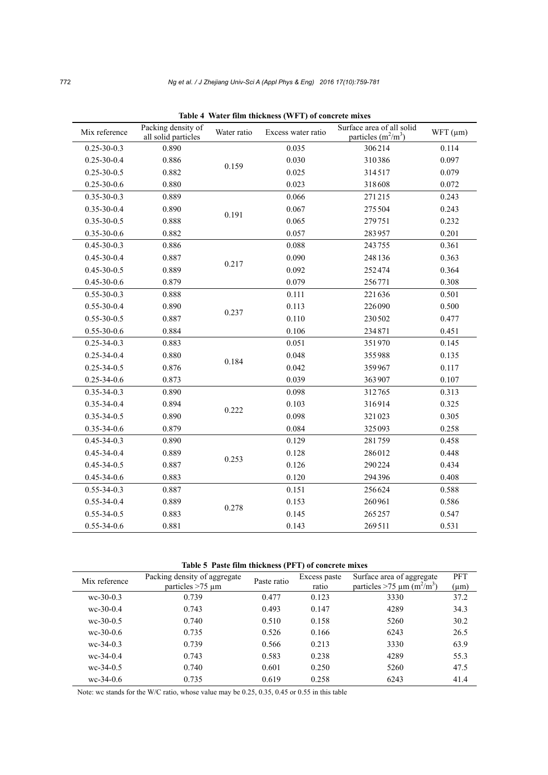| Mix reference     | Packing density of<br>all solid particles | Water ratio | Excess water ratio | Surface area of all solid<br>particles $(m^2/m^3)$ | $WFT(\mu m)$ |
|-------------------|-------------------------------------------|-------------|--------------------|----------------------------------------------------|--------------|
| $0.25 - 30 - 0.3$ | 0.890                                     |             | 0.035              | 306214                                             | 0.114        |
| $0.25 - 30 - 0.4$ | 0.886                                     |             | 0.030              | 310386                                             | 0.097        |
| $0.25 - 30 - 0.5$ | 0.882                                     | 0.159       | 0.025              | 314517                                             | 0.079        |
| $0.25 - 30 - 0.6$ | 0.880                                     |             | 0.023              | 318608                                             | 0.072        |
| $0.35 - 30 - 0.3$ | 0.889                                     |             | 0.066              | 271215                                             | 0.243        |
| $0.35 - 30 - 0.4$ | 0.890                                     |             | 0.067              | 275504                                             | 0.243        |
| $0.35 - 30 - 0.5$ | 0.888                                     | 0.191       | 0.065              | 279751                                             | 0.232        |
| $0.35 - 30 - 0.6$ | 0.882                                     |             | 0.057              | 283957                                             | 0.201        |
| $0.45 - 30 - 0.3$ | 0.886                                     |             | 0.088              | 243755                                             | 0.361        |
| $0.45 - 30 - 0.4$ | 0.887                                     |             | 0.090              | 248136                                             | 0.363        |
| $0.45 - 30 - 0.5$ | 0.889                                     | 0.217       | 0.092              | 252474                                             | 0.364        |
| $0.45 - 30 - 0.6$ | 0.879                                     |             | 0.079              | 256771                                             | 0.308        |
| $0.55 - 30 - 0.3$ | 0.888                                     |             | 0.111              | 221636                                             | 0.501        |
| $0.55 - 30 - 0.4$ | 0.890                                     | 0.237       | 0.113              | 226090                                             | 0.500        |
| $0.55 - 30 - 0.5$ | 0.887                                     |             | 0.110              | 230502                                             | 0.477        |
| $0.55 - 30 - 0.6$ | 0.884                                     |             | 0.106              | 234871                                             | 0.451        |
| $0.25 - 34 - 0.3$ | 0.883                                     |             | 0.051              | 351970                                             | 0.145        |
| $0.25 - 34 - 0.4$ | 0.880                                     | 0.184       | 0.048              | 355988                                             | 0.135        |
| $0.25 - 34 - 0.5$ | 0.876                                     |             | 0.042              | 359967                                             | 0.117        |
| $0.25 - 34 - 0.6$ | 0.873                                     |             | 0.039              | 363907                                             | 0.107        |
| $0.35 - 34 - 0.3$ | 0.890                                     |             | 0.098              | 312765                                             | 0.313        |
| $0.35 - 34 - 0.4$ | 0.894                                     | 0.222       | 0.103              | 316914                                             | 0.325        |
| $0.35 - 34 - 0.5$ | 0.890                                     |             | 0.098              | 321023                                             | 0.305        |
| $0.35 - 34 - 0.6$ | 0.879                                     |             | 0.084              | 325093                                             | 0.258        |
| $0.45 - 34 - 0.3$ | 0.890                                     |             | 0.129              | 281759                                             | 0.458        |
| $0.45 - 34 - 0.4$ | 0.889                                     | 0.253       | 0.128              | 286012                                             | 0.448        |
| $0.45 - 34 - 0.5$ | 0.887                                     |             | 0.126              | 290224                                             | 0.434        |
| $0.45 - 34 - 0.6$ | 0.883                                     |             | 0.120              | 294396                                             | 0.408        |
| $0.55 - 34 - 0.3$ | 0.887                                     |             | 0.151              | 256624                                             | 0.588        |
| $0.55 - 34 - 0.4$ | 0.889                                     | 0.278       | 0.153              | 260961                                             | 0.586        |
| $0.55 - 34 - 0.5$ | 0.883                                     |             | 0.145              | 265257                                             | 0.547        |
| $0.55 - 34 - 0.6$ | 0.881                                     |             | 0.143              | 269511                                             | 0.531        |

**Table 4 Water film thickness (WFT) of concrete mixes** 

**Table 5 Paste film thickness (PFT) of concrete mixes** 

| Mix reference | Packing density of aggregate<br>particles $>75 \mu m$ | Paste ratio | Excess paste<br>ratio | Surface area of aggregate<br>particles >75 $\mu$ m (m <sup>2</sup> /m <sup>3</sup> ) | <b>PFT</b><br>$(\mu m)$ |
|---------------|-------------------------------------------------------|-------------|-----------------------|--------------------------------------------------------------------------------------|-------------------------|
| $wc-30-0.3$   | 0.739                                                 | 0.477       | 0.123                 | 3330                                                                                 | 37.2                    |
| $wc-30-0.4$   | 0.743                                                 | 0.493       | 0.147                 | 4289                                                                                 | 34.3                    |
| $wc-30-0.5$   | 0.740                                                 | 0.510       | 0.158                 | 5260                                                                                 | 30.2                    |
| $wc-30-0.6$   | 0.735                                                 | 0.526       | 0.166                 | 6243                                                                                 | 26.5                    |
| $wc-34-0.3$   | 0.739                                                 | 0.566       | 0.213                 | 3330                                                                                 | 63.9                    |
| $wc-34-0.4$   | 0.743                                                 | 0.583       | 0.238                 | 4289                                                                                 | 55.3                    |
| $wc-34-0.5$   | 0.740                                                 | 0.601       | 0.250                 | 5260                                                                                 | 47.5                    |
| $wc-34-0.6$   | 0.735                                                 | 0.619       | 0.258                 | 6243                                                                                 | 41.4                    |

Note: wc stands for the W/C ratio, whose value may be 0.25, 0.35, 0.45 or 0.55 in this table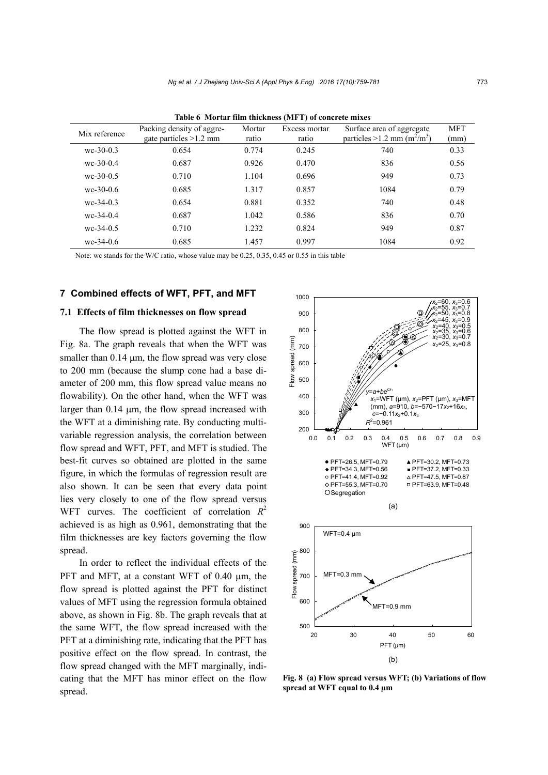| TADIC O TYLOLIAI THIII UHUKHUSS (TYLE L J OL CONCLUU HIIAUS |                                                       |                 |                        |                                                                                    |                    |  |  |
|-------------------------------------------------------------|-------------------------------------------------------|-----------------|------------------------|------------------------------------------------------------------------------------|--------------------|--|--|
| Mix reference                                               | Packing density of aggre-<br>gate particles $>1.2$ mm | Mortar<br>ratio | Excess mortar<br>ratio | Surface area of aggregate<br>particles $>1.2$ mm (m <sup>2</sup> /m <sup>3</sup> ) | <b>MFT</b><br>(mm) |  |  |
| $wc-30-0.3$                                                 | 0.654                                                 | 0.774           | 0.245                  | 740                                                                                | 0.33               |  |  |
| $wc-30-0.4$                                                 | 0.687                                                 | 0.926           | 0.470                  | 836                                                                                | 0.56               |  |  |
| $wc-30-0.5$                                                 | 0.710                                                 | 1.104           | 0.696                  | 949                                                                                | 0.73               |  |  |
| $wc-30-0.6$                                                 | 0.685                                                 | 1.317           | 0.857                  | 1084                                                                               | 0.79               |  |  |
| $wc-34-0.3$                                                 | 0.654                                                 | 0.881           | 0.352                  | 740                                                                                | 0.48               |  |  |
| $wc-34-0.4$                                                 | 0.687                                                 | 1.042           | 0.586                  | 836                                                                                | 0.70               |  |  |
| $wc-34-0.5$                                                 | 0.710                                                 | 1.232           | 0.824                  | 949                                                                                | 0.87               |  |  |
| $wc-34-0.6$                                                 | 0.685                                                 | 1.457           | 0.997                  | 1084                                                                               | 0.92               |  |  |

**Table 6 Mortar film thickness (MFT) of concrete mixes** 

Note: wc stands for the W/C ratio, whose value may be 0.25, 0.35, 0.45 or 0.55 in this table

#### **7 Combined effects of WFT, PFT, and MFT**

#### **7.1 Effects of film thicknesses on flow spread**

The flow spread is plotted against the WFT in Fig. 8a. The graph reveals that when the WFT was smaller than  $0.14 \mu m$ , the flow spread was very close to 200 mm (because the slump cone had a base diameter of 200 mm, this flow spread value means no flowability). On the other hand, when the WFT was larger than  $0.14 \mu m$ , the flow spread increased with the WFT at a diminishing rate. By conducting multivariable regression analysis, the correlation between flow spread and WFT, PFT, and MFT is studied. The best-fit curves so obtained are plotted in the same figure, in which the formulas of regression result are also shown. It can be seen that every data point lies very closely to one of the flow spread versus WFT curves. The coefficient of correlation  $R^2$ achieved is as high as 0.961, demonstrating that the film thicknesses are key factors governing the flow spread.

In order to reflect the individual effects of the PFT and MFT, at a constant WFT of 0.40  $\mu$ m, the flow spread is plotted against the PFT for distinct values of MFT using the regression formula obtained above, as shown in Fig. 8b. The graph reveals that at the same WFT, the flow spread increased with the PFT at a diminishing rate, indicating that the PFT has positive effect on the flow spread. In contrast, the flow spread changed with the MFT marginally, indicating that the MFT has minor effect on the flow spread.



**Fig. 8 (a) Flow spread versus WFT; (b) Variations of flow spread at WFT equal to 0.4 μm**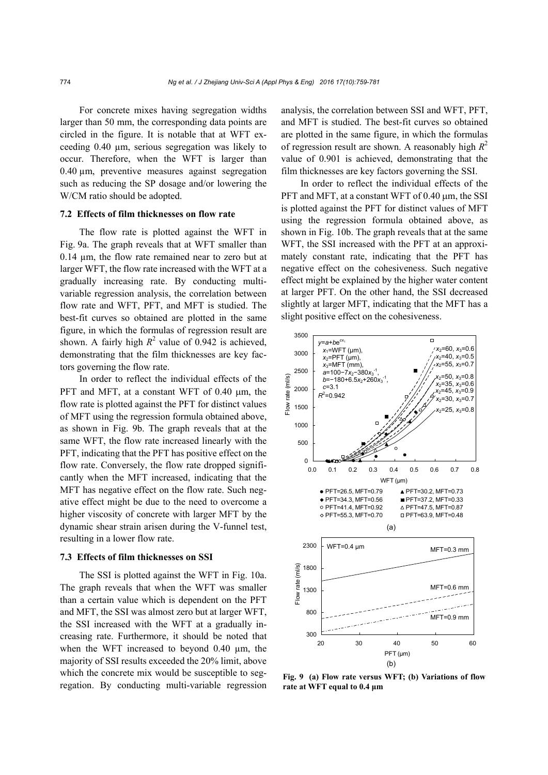For concrete mixes having segregation widths larger than 50 mm, the corresponding data points are circled in the figure. It is notable that at WFT exceeding 0.40 µm, serious segregation was likely to occur. Therefore, when the WFT is larger than 0.40 um, preventive measures against segregation such as reducing the SP dosage and/or lowering the W/CM ratio should be adopted.

#### **7.2 Effects of film thicknesses on flow rate**

The flow rate is plotted against the WFT in Fig. 9a. The graph reveals that at WFT smaller than 0.14 µm, the flow rate remained near to zero but at larger WFT, the flow rate increased with the WFT at a gradually increasing rate. By conducting multivariable regression analysis, the correlation between flow rate and WFT, PFT, and MFT is studied. The best-fit curves so obtained are plotted in the same figure, in which the formulas of regression result are shown. A fairly high  $R^2$  value of 0.942 is achieved, demonstrating that the film thicknesses are key factors governing the flow rate.

In order to reflect the individual effects of the PFT and MFT, at a constant WFT of  $0.40 \mu m$ , the flow rate is plotted against the PFT for distinct values of MFT using the regression formula obtained above, as shown in Fig. 9b. The graph reveals that at the same WFT, the flow rate increased linearly with the PFT, indicating that the PFT has positive effect on the flow rate. Conversely, the flow rate dropped significantly when the MFT increased, indicating that the MFT has negative effect on the flow rate. Such negative effect might be due to the need to overcome a higher viscosity of concrete with larger MFT by the dynamic shear strain arisen during the V-funnel test, resulting in a lower flow rate.

#### **7.3 Effects of film thicknesses on SSI**

The SSI is plotted against the WFT in Fig. 10a. The graph reveals that when the WFT was smaller than a certain value which is dependent on the PFT and MFT, the SSI was almost zero but at larger WFT, the SSI increased with the WFT at a gradually increasing rate. Furthermore, it should be noted that when the WFT increased to beyond 0.40  $\mu$ m, the majority of SSI results exceeded the 20% limit, above which the concrete mix would be susceptible to segregation. By conducting multi-variable regression analysis, the correlation between SSI and WFT, PFT, and MFT is studied. The best-fit curves so obtained are plotted in the same figure, in which the formulas of regression result are shown. A reasonably high  $R^2$ value of 0.901 is achieved, demonstrating that the film thicknesses are key factors governing the SSI.

In order to reflect the individual effects of the PFT and MFT, at a constant WFT of  $0.40 \mu m$ , the SSI is plotted against the PFT for distinct values of MFT using the regression formula obtained above, as shown in Fig. 10b. The graph reveals that at the same WFT, the SSI increased with the PFT at an approximately constant rate, indicating that the PFT has negative effect on the cohesiveness. Such negative effect might be explained by the higher water content at larger PFT. On the other hand, the SSI decreased slightly at larger MFT, indicating that the MFT has a slight positive effect on the cohesiveness.



**Fig. 9 (a) Flow rate versus WFT; (b) Variations of flow rate at WFT equal to 0.4 μm**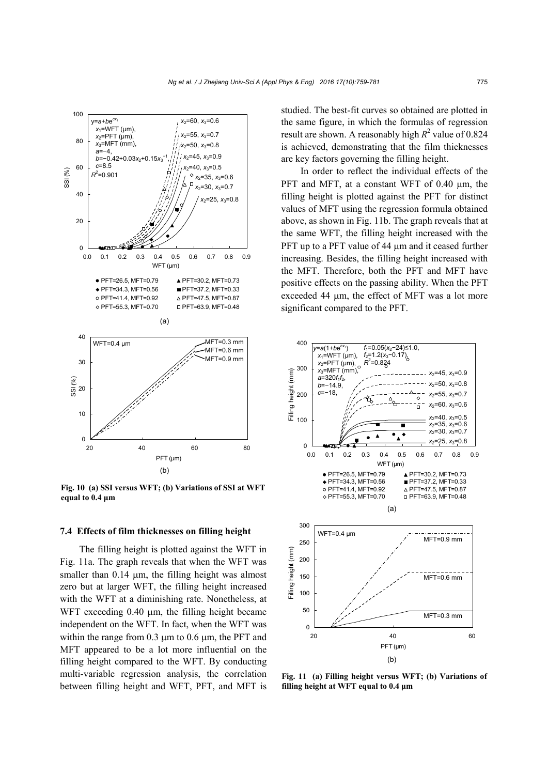

**Fig. 10 (a) SSI versus WFT; (b) Variations of SSI at WFT equal to 0.4 μm** 

#### **7.4 Effects of film thicknesses on filling height**

The filling height is plotted against the WFT in Fig. 11a. The graph reveals that when the WFT was smaller than  $0.14 \mu m$ , the filling height was almost zero but at larger WFT, the filling height increased with the WFT at a diminishing rate. Nonetheless, at WFT exceeding 0.40 um, the filling height became independent on the WFT. In fact, when the WFT was within the range from  $0.3 \mu m$  to  $0.6 \mu m$ , the PFT and MFT appeared to be a lot more influential on the filling height compared to the WFT. By conducting multi-variable regression analysis, the correlation between filling height and WFT, PFT, and MFT is studied. The best-fit curves so obtained are plotted in the same figure, in which the formulas of regression result are shown. A reasonably high  $R^2$  value of 0.824 is achieved, demonstrating that the film thicknesses are key factors governing the filling height.

In order to reflect the individual effects of the PFT and MFT, at a constant WFT of  $0.40 \mu m$ , the filling height is plotted against the PFT for distinct values of MFT using the regression formula obtained above, as shown in Fig. 11b. The graph reveals that at the same WFT, the filling height increased with the PFT up to a PFT value of 44 µm and it ceased further increasing. Besides, the filling height increased with the MFT. Therefore, both the PFT and MFT have positive effects on the passing ability. When the PFT exceeded 44 µm, the effect of MFT was a lot more significant compared to the PFT.



**Fig. 11 (a) Filling height versus WFT; (b) Variations of filling height at WFT equal to 0.4 μm**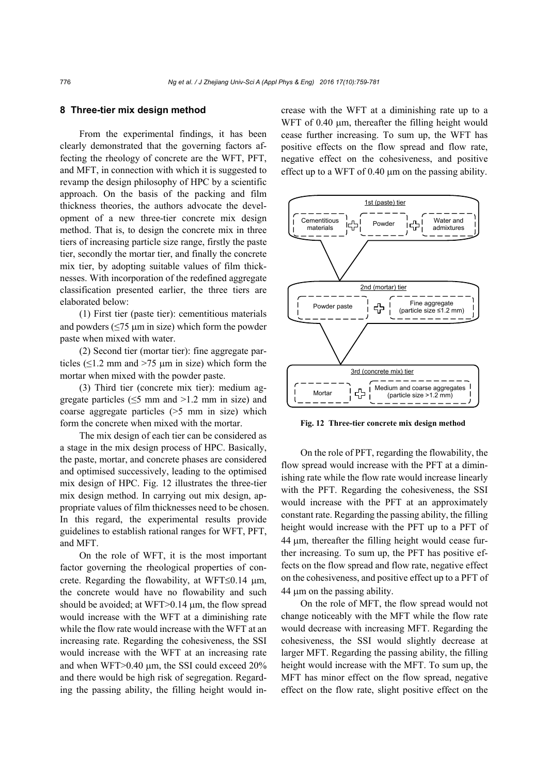#### **8 Three-tier mix design method**

From the experimental findings, it has been clearly demonstrated that the governing factors affecting the rheology of concrete are the WFT, PFT, and MFT, in connection with which it is suggested to revamp the design philosophy of HPC by a scientific approach. On the basis of the packing and film thickness theories, the authors advocate the development of a new three-tier concrete mix design method. That is, to design the concrete mix in three tiers of increasing particle size range, firstly the paste tier, secondly the mortar tier, and finally the concrete mix tier, by adopting suitable values of film thicknesses. With incorporation of the redefined aggregate classification presented earlier, the three tiers are elaborated below:

(1) First tier (paste tier): cementitious materials and powders ( $\leq$ 75 µm in size) which form the powder paste when mixed with water.

(2) Second tier (mortar tier): fine aggregate particles  $(\leq 1.2 \text{ mm and } > 75 \text{ }\mu\text{m}$  in size) which form the mortar when mixed with the powder paste.

(3) Third tier (concrete mix tier): medium aggregate particles ( $\leq$ 5 mm and  $>$ 1.2 mm in size) and coarse aggregate particles (>5 mm in size) which form the concrete when mixed with the mortar.

The mix design of each tier can be considered as a stage in the mix design process of HPC. Basically, the paste, mortar, and concrete phases are considered and optimised successively, leading to the optimised mix design of HPC. Fig. 12 illustrates the three-tier mix design method. In carrying out mix design, appropriate values of film thicknesses need to be chosen. In this regard, the experimental results provide guidelines to establish rational ranges for WFT, PFT, and MFT.

On the role of WFT, it is the most important factor governing the rheological properties of concrete. Regarding the flowability, at WFT $\leq 0.14$  um, the concrete would have no flowability and such should be avoided; at  $WFT>0.14 \mu m$ , the flow spread would increase with the WFT at a diminishing rate while the flow rate would increase with the WFT at an increasing rate. Regarding the cohesiveness, the SSI would increase with the WFT at an increasing rate and when WFT $>0.40$  µm, the SSI could exceed 20% and there would be high risk of segregation. Regarding the passing ability, the filling height would increase with the WFT at a diminishing rate up to a WFT of  $0.40 \mu m$ , thereafter the filling height would cease further increasing. To sum up, the WFT has positive effects on the flow spread and flow rate, negative effect on the cohesiveness, and positive effect up to a WFT of  $0.40 \mu m$  on the passing ability.



**Fig. 12 Three-tier concrete mix design method** 

On the role of PFT, regarding the flowability, the flow spread would increase with the PFT at a diminishing rate while the flow rate would increase linearly with the PFT. Regarding the cohesiveness, the SSI would increase with the PFT at an approximately constant rate. Regarding the passing ability, the filling height would increase with the PFT up to a PFT of  $44 \mu m$ , thereafter the filling height would cease further increasing. To sum up, the PFT has positive effects on the flow spread and flow rate, negative effect on the cohesiveness, and positive effect up to a PFT of 44 um on the passing ability.

On the role of MFT, the flow spread would not change noticeably with the MFT while the flow rate would decrease with increasing MFT. Regarding the cohesiveness, the SSI would slightly decrease at larger MFT. Regarding the passing ability, the filling height would increase with the MFT. To sum up, the MFT has minor effect on the flow spread, negative effect on the flow rate, slight positive effect on the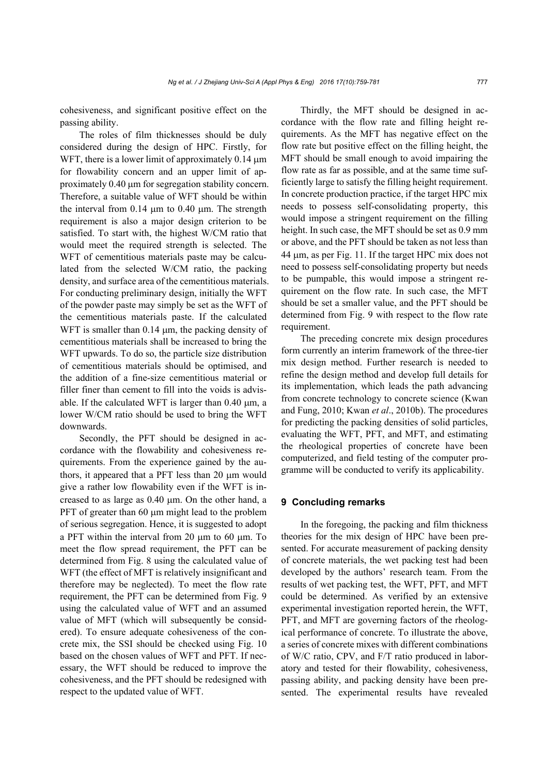cohesiveness, and significant positive effect on the passing ability.

The roles of film thicknesses should be duly considered during the design of HPC. Firstly, for WFT, there is a lower limit of approximately  $0.14 \mu m$ for flowability concern and an upper limit of approximately 0.40  $\mu$ m for segregation stability concern. Therefore, a suitable value of WFT should be within the interval from  $0.14 \mu m$  to  $0.40 \mu m$ . The strength requirement is also a major design criterion to be satisfied. To start with, the highest W/CM ratio that would meet the required strength is selected. The WFT of cementitious materials paste may be calculated from the selected W/CM ratio, the packing density, and surface area of the cementitious materials. For conducting preliminary design, initially the WFT of the powder paste may simply be set as the WFT of the cementitious materials paste. If the calculated WFT is smaller than 0.14 um, the packing density of cementitious materials shall be increased to bring the WFT upwards. To do so, the particle size distribution of cementitious materials should be optimised, and the addition of a fine-size cementitious material or filler finer than cement to fill into the voids is advisable. If the calculated WFT is larger than  $0.40 \mu m$ , a lower W/CM ratio should be used to bring the WFT downwards.

Secondly, the PFT should be designed in accordance with the flowability and cohesiveness requirements. From the experience gained by the authors, it appeared that a PFT less than 20  $\mu$ m would give a rather low flowability even if the WFT is increased to as large as  $0.40 \mu m$ . On the other hand, a PFT of greater than 60 µm might lead to the problem of serious segregation. Hence, it is suggested to adopt a PFT within the interval from 20  $\mu$ m to 60  $\mu$ m. To meet the flow spread requirement, the PFT can be determined from Fig. 8 using the calculated value of WFT (the effect of MFT is relatively insignificant and therefore may be neglected). To meet the flow rate requirement, the PFT can be determined from Fig. 9 using the calculated value of WFT and an assumed value of MFT (which will subsequently be considered). To ensure adequate cohesiveness of the concrete mix, the SSI should be checked using Fig. 10 based on the chosen values of WFT and PFT. If necessary, the WFT should be reduced to improve the cohesiveness, and the PFT should be redesigned with respect to the updated value of WFT.

Thirdly, the MFT should be designed in accordance with the flow rate and filling height requirements. As the MFT has negative effect on the flow rate but positive effect on the filling height, the MFT should be small enough to avoid impairing the flow rate as far as possible, and at the same time sufficiently large to satisfy the filling height requirement. In concrete production practice, if the target HPC mix needs to possess self-consolidating property, this would impose a stringent requirement on the filling height. In such case, the MFT should be set as 0.9 mm or above, and the PFT should be taken as not less than  $44 \mu m$ , as per Fig. 11. If the target HPC mix does not need to possess self-consolidating property but needs to be pumpable, this would impose a stringent requirement on the flow rate. In such case, the MFT should be set a smaller value, and the PFT should be determined from Fig. 9 with respect to the flow rate requirement.

The preceding concrete mix design procedures form currently an interim framework of the three-tier mix design method. Further research is needed to refine the design method and develop full details for its implementation, which leads the path advancing from concrete technology to concrete science (Kwan and Fung, 2010; Kwan *et al*., 2010b). The procedures for predicting the packing densities of solid particles, evaluating the WFT, PFT, and MFT, and estimating the rheological properties of concrete have been computerized, and field testing of the computer programme will be conducted to verify its applicability.

#### **9 Concluding remarks**

In the foregoing, the packing and film thickness theories for the mix design of HPC have been presented. For accurate measurement of packing density of concrete materials, the wet packing test had been developed by the authors' research team. From the results of wet packing test, the WFT, PFT, and MFT could be determined. As verified by an extensive experimental investigation reported herein, the WFT, PFT, and MFT are governing factors of the rheological performance of concrete. To illustrate the above, a series of concrete mixes with different combinations of W/C ratio, CPV, and F/T ratio produced in laboratory and tested for their flowability, cohesiveness, passing ability, and packing density have been presented. The experimental results have revealed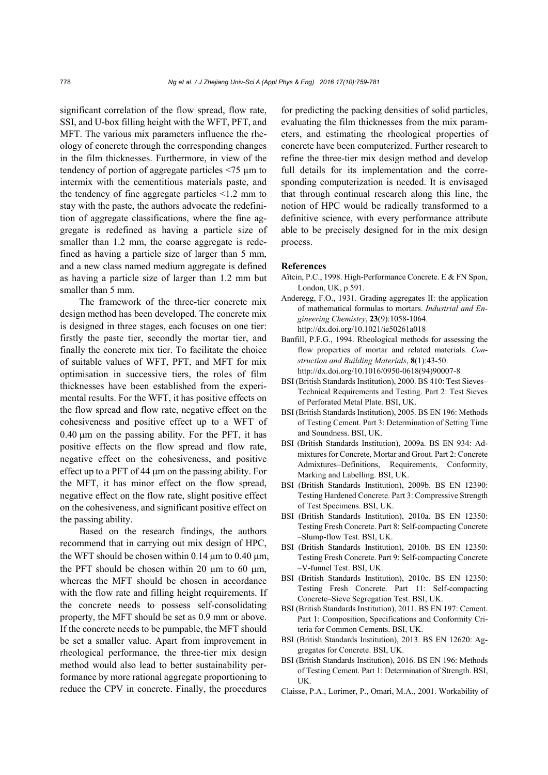significant correlation of the flow spread, flow rate, SSI, and U-box filling height with the WFT, PFT, and MFT. The various mix parameters influence the rheology of concrete through the corresponding changes in the film thicknesses. Furthermore, in view of the tendency of portion of aggregate particles <75 µm to intermix with the cementitious materials paste, and the tendency of fine aggregate particles <1.2 mm to stay with the paste, the authors advocate the redefinition of aggregate classifications, where the fine aggregate is redefined as having a particle size of smaller than 1.2 mm, the coarse aggregate is redefined as having a particle size of larger than 5 mm, and a new class named medium aggregate is defined as having a particle size of larger than 1.2 mm but smaller than 5 mm.

The framework of the three-tier concrete mix design method has been developed. The concrete mix is designed in three stages, each focuses on one tier: firstly the paste tier, secondly the mortar tier, and finally the concrete mix tier. To facilitate the choice of suitable values of WFT, PFT, and MFT for mix optimisation in successive tiers, the roles of film thicknesses have been established from the experimental results. For the WFT, it has positive effects on the flow spread and flow rate, negative effect on the cohesiveness and positive effect up to a WFT of  $0.40 \mu m$  on the passing ability. For the PFT, it has positive effects on the flow spread and flow rate, negative effect on the cohesiveness, and positive effect up to a PFT of 44  $\mu$ m on the passing ability. For the MFT, it has minor effect on the flow spread, negative effect on the flow rate, slight positive effect on the cohesiveness, and significant positive effect on the passing ability.

Based on the research findings, the authors recommend that in carrying out mix design of HPC, the WFT should be chosen within 0.14  $\mu$ m to 0.40  $\mu$ m, the PFT should be chosen within 20  $\mu$ m to 60  $\mu$ m, whereas the MFT should be chosen in accordance with the flow rate and filling height requirements. If the concrete needs to possess self-consolidating property, the MFT should be set as 0.9 mm or above. If the concrete needs to be pumpable, the MFT should be set a smaller value. Apart from improvement in rheological performance, the three-tier mix design method would also lead to better sustainability performance by more rational aggregate proportioning to reduce the CPV in concrete. Finally, the procedures

for predicting the packing densities of solid particles, evaluating the film thicknesses from the mix parameters, and estimating the rheological properties of concrete have been computerized. Further research to refine the three-tier mix design method and develop full details for its implementation and the corresponding computerization is needed. It is envisaged that through continual research along this line, the notion of HPC would be radically transformed to a definitive science, with every performance attribute able to be precisely designed for in the mix design process.

#### **References**

- Aïtcin, P.C., 1998. High-Performance Concrete. E & FN Spon, London, UK, p.591.
- Anderegg, F.O., 1931. Grading aggregates II: the application of mathematical formulas to mortars. *Industrial and Engineering Chemistry*, **23**(9):1058-1064. http://dx.doi.org/10.1021/ie50261a018
- Banfill, P.F.G., 1994. Rheological methods for assessing the flow properties of mortar and related materials. *Construction and Building Materials*, **8**(1):43-50. http://dx.doi.org/10.1016/0950-0618(94)90007-8
- BSI (British Standards Institution), 2000. BS 410: Test Sieves– Technical Requirements and Testing. Part 2: Test Sieves of Perforated Metal Plate. BSI, UK.
- BSI (British Standards Institution), 2005. BS EN 196: Methods of Testing Cement. Part 3: Determination of Setting Time and Soundness. BSI, UK.
- BSI (British Standards Institution), 2009a. BS EN 934: Admixtures for Concrete, Mortar and Grout. Part 2: Concrete Admixtures–Definitions, Requirements, Conformity, Marking and Labelling. BSI, UK.
- BSI (British Standards Institution), 2009b. BS EN 12390: Testing Hardened Concrete. Part 3: Compressive Strength of Test Specimens. BSI, UK.
- BSI (British Standards Institution), 2010a. BS EN 12350: Testing Fresh Concrete. Part 8: Self-compacting Concrete –Slump-flow Test. BSI, UK.
- BSI (British Standards Institution), 2010b. BS EN 12350: Testing Fresh Concrete. Part 9: Self-compacting Concrete –V-funnel Test. BSI, UK.
- BSI (British Standards Institution), 2010c. BS EN 12350: Testing Fresh Concrete. Part 11: Self-compacting Concrete–Sieve Segregation Test. BSI, UK.
- BSI (British Standards Institution), 2011. BS EN 197: Cement. Part 1: Composition, Specifications and Conformity Criteria for Common Cements. BSI, UK.
- BSI (British Standards Institution), 2013. BS EN 12620: Aggregates for Concrete. BSI, UK.
- BSI (British Standards Institution), 2016. BS EN 196: Methods of Testing Cement. Part 1: Determination of Strength. BSI, UK.
- Claisse, P.A., Lorimer, P., Omari, M.A., 2001. Workability of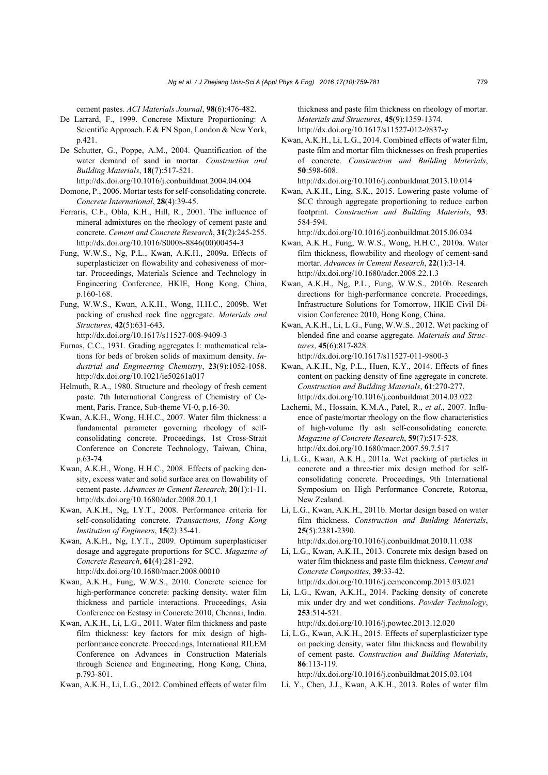cement pastes. *ACI Materials Journal*, **98**(6):476-482.

- De Larrard, F., 1999. Concrete Mixture Proportioning: A Scientific Approach. E & FN Spon, London & New York, p.421.
- De Schutter, G., Poppe, A.M., 2004. Quantification of the water demand of sand in mortar. *Construction and Building Materials*, **18**(7):517-521. http://dx.doi.org/10.1016/j.conbuildmat.2004.04.004
- Domone, P., 2006. Mortar tests for self-consolidating concrete. *Concrete International*, **28**(4):39-45.
- Ferraris, C.F., Obla, K.H., Hill, R., 2001. The influence of mineral admixtures on the rheology of cement paste and concrete. *Cement and Concrete Research*, **31**(2):245-255. http://dx.doi.org/10.1016/S0008-8846(00)00454-3
- Fung, W.W.S., Ng, P.L., Kwan, A.K.H., 2009a. Effects of superplasticizer on flowability and cohesiveness of mortar. Proceedings, Materials Science and Technology in Engineering Conference, HKIE, Hong Kong, China, p.160-168.
- Fung, W.W.S., Kwan, A.K.H., Wong, H.H.C., 2009b. Wet packing of crushed rock fine aggregate. *Materials and Structures*, **42**(5):631-643.
	- http://dx.doi.org/10.1617/s11527-008-9409-3
- Furnas, C.C., 1931. Grading aggregates I: mathematical relations for beds of broken solids of maximum density. *Industrial and Engineering Chemistry*, **23**(9):1052-1058. http://dx.doi.org/10.1021/ie50261a017
- Helmuth, R.A., 1980. Structure and rheology of fresh cement paste. 7th International Congress of Chemistry of Cement, Paris, France, Sub-theme VI-0, p.16-30.
- Kwan, A.K.H., Wong, H.H.C., 2007. Water film thickness: a fundamental parameter governing rheology of selfconsolidating concrete. Proceedings, 1st Cross-Strait Conference on Concrete Technology, Taiwan, China, p.63-74.
- Kwan, A.K.H., Wong, H.H.C., 2008. Effects of packing density, excess water and solid surface area on flowability of cement paste. *Advances in Cement Research*, **20**(1):1-11. http://dx.doi.org/10.1680/adcr.2008.20.1.1
- Kwan, A.K.H., Ng, I.Y.T., 2008. Performance criteria for self-consolidating concrete. *Transactions, Hong Kong Institution of Engineers*, **15**(2):35-41.
- Kwan, A.K.H., Ng, I.Y.T., 2009. Optimum superplasticiser dosage and aggregate proportions for SCC. *Magazine of Concrete Research*, **61**(4):281-292. http://dx.doi.org/10.1680/macr.2008.00010
- Kwan, A.K.H., Fung, W.W.S., 2010. Concrete science for high-performance concrete: packing density, water film thickness and particle interactions. Proceedings, Asia Conference on Ecstasy in Concrete 2010, Chennai, India.
- Kwan, A.K.H., Li, L.G., 2011. Water film thickness and paste film thickness: key factors for mix design of highperformance concrete. Proceedings, International RILEM Conference on Advances in Construction Materials through Science and Engineering, Hong Kong, China, p.793-801.

Kwan, A.K.H., Li, L.G., 2012. Combined effects of water film

thickness and paste film thickness on rheology of mortar. *Materials and Structures*, **45**(9):1359-1374. http://dx.doi.org/10.1617/s11527-012-9837-y

Kwan, A.K.H., Li, L.G., 2014. Combined effects of water film, paste film and mortar film thicknesses on fresh properties of concrete. *Construction and Building Materials*, **50**:598-608.

http://dx.doi.org/10.1016/j.conbuildmat.2013.10.014

Kwan, A.K.H., Ling, S.K., 2015. Lowering paste volume of SCC through aggregate proportioning to reduce carbon footprint. *Construction and Building Materials*, **93**: 584-594.

http://dx.doi.org/10.1016/j.conbuildmat.2015.06.034

- Kwan, A.K.H., Fung, W.W.S., Wong, H.H.C., 2010a. Water film thickness, flowability and rheology of cement-sand mortar. *Advances in Cement Research*, **22**(1):3-14. http://dx.doi.org/10.1680/adcr.2008.22.1.3
- Kwan, A.K.H., Ng, P.L., Fung, W.W.S., 2010b. Research directions for high-performance concrete. Proceedings, Infrastructure Solutions for Tomorrow, HKIE Civil Division Conference 2010, Hong Kong, China.
- Kwan, A.K.H., Li, L.G., Fung, W.W.S., 2012. Wet packing of blended fine and coarse aggregate. *Materials and Structures*, **45**(6):817-828. http://dx.doi.org/10.1617/s11527-011-9800-3
- Kwan, A.K.H., Ng, P.L., Huen, K.Y., 2014. Effects of fines content on packing density of fine aggregate in concrete. *Construction and Building Materials*, **61**:270-277. http://dx.doi.org/10.1016/j.conbuildmat.2014.03.022
- Lachemi, M., Hossain, K.M.A., Patel, R., *et al*., 2007. Influence of paste/mortar rheology on the flow characteristics of high-volume fly ash self-consolidating concrete. *Magazine of Concrete Research*, **59**(7):517-528. http://dx.doi.org/10.1680/macr.2007.59.7.517
- Li, L.G., Kwan, A.K.H., 2011a. Wet packing of particles in concrete and a three-tier mix design method for selfconsolidating concrete. Proceedings, 9th International Symposium on High Performance Concrete, Rotorua, New Zealand.
- Li, L.G., Kwan, A.K.H., 2011b. Mortar design based on water film thickness. *Construction and Building Materials*, **25**(5):2381-2390. http://dx.doi.org/10.1016/j.conbuildmat.2010.11.038
- Li, L.G., Kwan, A.K.H., 2013. Concrete mix design based on water film thickness and paste film thickness. *Cement and Concrete Composites*, **39**:33-42. http://dx.doi.org/10.1016/j.cemconcomp.2013.03.021
- Li, L.G., Kwan, A.K.H., 2014. Packing density of concrete mix under dry and wet conditions. *Powder Technology*, **253**:514-521. http://dx.doi.org/10.1016/j.powtec.2013.12.020
- Li, L.G., Kwan, A.K.H., 2015. Effects of superplasticizer type on packing density, water film thickness and flowability of cement paste. *Construction and Building Materials*, **86**:113-119. http://dx.doi.org/10.1016/j.conbuildmat.2015.03.104
- 
- Li, Y., Chen, J.J., Kwan, A.K.H., 2013. Roles of water film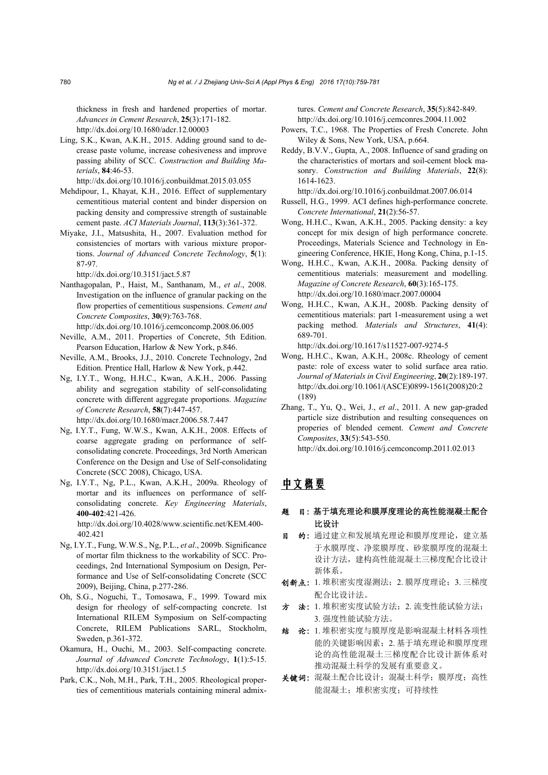thickness in fresh and hardened properties of mortar. *Advances in Cement Research*, **25**(3):171-182. http://dx.doi.org/10.1680/adcr.12.00003

Ling, S.K., Kwan, A.K.H., 2015. Adding ground sand to decrease paste volume, increase cohesiveness and improve passing ability of SCC. *Construction and Building Materials*, **84**:46-53.

http://dx.doi.org/10.1016/j.conbuildmat.2015.03.055

- Mehdipour, I., Khayat, K.H., 2016. Effect of supplementary cementitious material content and binder dispersion on packing density and compressive strength of sustainable cement paste. *ACI Materials Journal*, **113**(3):361-372.
- Miyake, J.I., Matsushita, H., 2007. Evaluation method for consistencies of mortars with various mixture proportions. *Journal of Advanced Concrete Technology*, **5**(1): 87-97.

http://dx.doi.org/10.3151/jact.5.87

- Nanthagopalan, P., Haist, M., Santhanam, M., *et al*., 2008. Investigation on the influence of granular packing on the flow properties of cementitious suspensions. *Cement and Concrete Composites*, **30**(9):763-768.
- http://dx.doi.org/10.1016/j.cemconcomp.2008.06.005 Neville, A.M., 2011. Properties of Concrete, 5th Edition. Pearson Education, Harlow & New York, p.846.
- Neville, A.M., Brooks, J.J., 2010. Concrete Technology, 2nd Edition. Prentice Hall, Harlow & New York, p.442.
- Ng, I.Y.T., Wong, H.H.C., Kwan, A.K.H., 2006. Passing ability and segregation stability of self-consolidating concrete with different aggregate proportions. *Magazine of Concrete Research*, **58**(7):447-457. http://dx.doi.org/10.1680/macr.2006.58.7.447
- Ng, I.Y.T., Fung, W.W.S., Kwan, A.K.H., 2008. Effects of coarse aggregate grading on performance of selfconsolidating concrete. Proceedings, 3rd North American Conference on the Design and Use of Self-consolidating Concrete (SCC 2008), Chicago, USA.
- Ng, I.Y.T., Ng, P.L., Kwan, A.K.H., 2009a. Rheology of mortar and its influences on performance of selfconsolidating concrete. *Key Engineering Materials*, **400-402**:421-426. http://dx.doi.org/10.4028/www.scientific.net/KEM.400- 402.421
- Ng, I.Y.T., Fung, W.W.S., Ng, P.L., *et al*., 2009b. Significance of mortar film thickness to the workability of SCC. Proceedings, 2nd International Symposium on Design, Performance and Use of Self-consolidating Concrete (SCC 2009), Beijing, China, p.277-286.
- Oh, S.G., Noguchi, T., Tomosawa, F., 1999. Toward mix design for rheology of self-compacting concrete. 1st International RILEM Symposium on Self-compacting Concrete, RILEM Publications SARL, Stockholm, Sweden, p.361-372.
- Okamura, H., Ouchi, M., 2003. Self-compacting concrete. *Journal of Advanced Concrete Technology*, **1**(1):5-15. http://dx.doi.org/10.3151/jact.1.5
- Park, C.K., Noh, M.H., Park, T.H., 2005. Rheological properties of cementitious materials containing mineral admix-

tures. *Cement and Concrete Research*, **35**(5):842-849. http://dx.doi.org/10.1016/j.cemconres.2004.11.002

- Powers, T.C., 1968. The Properties of Fresh Concrete. John Wiley & Sons, New York, USA, p.664.
- Reddy, B.V.V., Gupta, A., 2008. Influence of sand grading on the characteristics of mortars and soil-cement block masonry. *Construction and Building Materials*, **22**(8): 1614-1623.

http://dx.doi.org/10.1016/j.conbuildmat.2007.06.014

- Russell, H.G., 1999. ACI defines high-performance concrete. *Concrete International*, **21**(2):56-57.
- Wong, H.H.C., Kwan, A.K.H., 2005. Packing density: a key concept for mix design of high performance concrete. Proceedings, Materials Science and Technology in Engineering Conference, HKIE, Hong Kong, China, p.1-15.
- Wong, H.H.C., Kwan, A.K.H., 2008a. Packing density of cementitious materials: measurement and modelling. *Magazine of Concrete Research*, **60**(3):165-175. http://dx.doi.org/10.1680/macr.2007.00004
- Wong, H.H.C., Kwan, A.K.H., 2008b. Packing density of cementitious materials: part 1-measurement using a wet packing method. *Materials and Structures*, **41**(4): 689-701.

http://dx.doi.org/10.1617/s11527-007-9274-5

- Wong, H.H.C., Kwan, A.K.H., 2008c. Rheology of cement paste: role of excess water to solid surface area ratio. *Journal of Materials in Civil Engineering*, **20**(2):189-197. http://dx.doi.org/10.1061/(ASCE)0899-1561(2008)20:2 (189)
- Zhang, T., Yu, Q., Wei, J., *et al*., 2011. A new gap-graded particle size distribution and resulting consequences on properies of blended cement. *Cement and Concrete Composites*, **33**(5):543-550. http://dx.doi.org/10.1016/j.cemconcomp.2011.02.013

# 中文概要

# 题 目:基于填充理论和膜厚度理论的高性能混凝土配合 比设计

- 的: 通过建立和发展填充理论和膜厚度理论, 建立基 于水膜厚度、净浆膜厚度、砂浆膜厚度的混凝土 设计方法,建构高性能混凝土三梯度配合比设计 新体系。
- 创新点: 1. 堆积密实度湿测法; 2. 膜厚度理论; 3. 三梯度 配合比设计法。
- 方 法: 1. 堆积密实度试验方法; 2. 流变性能试验方法; 3. 强度性能试验方法。
- 结 论:1. 堆积密实度与膜厚度是影响混凝土材料各项性 能的关键影响因素;2. 基于填充理论和膜厚度理 论的高性能混凝土三梯度配合比设计新体系对 推动混凝土科学的发展有重要意义。
- 关键词:混凝土配合比设计;混凝土科学;膜厚度;高性 能混凝土;堆积密实度;可持续性